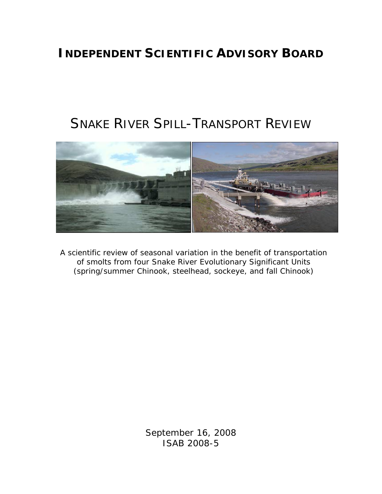# **INDEPENDENT SCIENTIFIC ADVISORY BOARD**

# SNAKE RIVER SPILL-TRANSPORT REVIEW



A scientific review of seasonal variation in the benefit of transportation of smolts from four Snake River Evolutionary Significant Units (spring/summer Chinook, steelhead, sockeye, and fall Chinook)

> September 16, 2008 ISAB 2008-5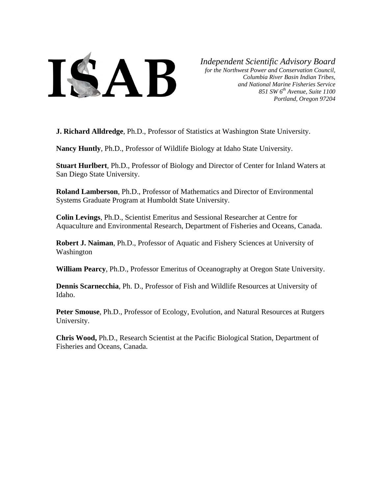

*Independent Scientific Advisory Board*

*for the Northwest Power and Conservation Council, Columbia River Basin Indian Tribes, and National Marine Fisheries Service 851 SW 6th Avenue, Suite 1100 Portland, Oregon 97204* 

**J. Richard Alldredge**, Ph.D., Professor of Statistics at Washington State University.

**Nancy Huntly**, Ph.D., Professor of Wildlife Biology at Idaho State University.

**Stuart Hurlbert**, Ph.D., Professor of Biology and Director of Center for Inland Waters at San Diego State University.

**Roland Lamberson**, Ph.D., Professor of Mathematics and Director of Environmental Systems Graduate Program at Humboldt State University.

**Colin Levings**, Ph.D., Scientist Emeritus and Sessional Researcher at Centre for Aquaculture and Environmental Research, Department of Fisheries and Oceans, Canada.

**Robert J. Naiman**, Ph.D., Professor of Aquatic and Fishery Sciences at University of Washington

**William Pearcy**, Ph.D., Professor Emeritus of Oceanography at Oregon State University.

**Dennis Scarnecchia**, Ph. D., Professor of Fish and Wildlife Resources at University of Idaho.

**Peter Smouse**, Ph.D., Professor of Ecology, Evolution, and Natural Resources at Rutgers University.

**Chris Wood,** Ph.D., Research Scientist at the Pacific Biological Station, Department of Fisheries and Oceans, Canada.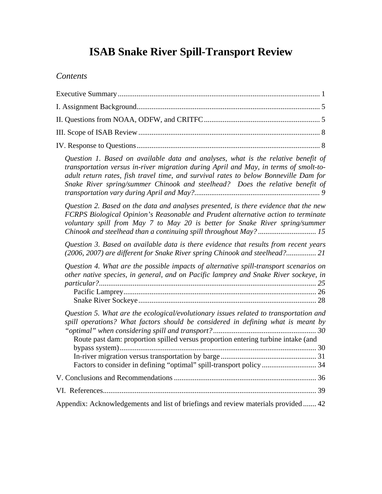# **ISAB Snake River Spill-Transport Review**

# *Contents*

| Question 1. Based on available data and analyses, what is the relative benefit of<br>transportation versus in-river migration during April and May, in terms of smolt-to-<br>adult return rates, fish travel time, and survival rates to below Bonneville Dam for<br>Snake River spring/summer Chinook and steelhead? Does the relative benefit of |
|----------------------------------------------------------------------------------------------------------------------------------------------------------------------------------------------------------------------------------------------------------------------------------------------------------------------------------------------------|
| Question 2. Based on the data and analyses presented, is there evidence that the new<br>FCRPS Biological Opinion's Reasonable and Prudent alternative action to terminate<br>voluntary spill from May 7 to May 20 is better for Snake River spring/summer                                                                                          |
| Question 3. Based on available data is there evidence that results from recent years<br>(2006, 2007) are different for Snake River spring Chinook and steelhead? 21                                                                                                                                                                                |
| Question 4. What are the possible impacts of alternative spill-transport scenarios on<br>other native species, in general, and on Pacific lamprey and Snake River sockeye, in                                                                                                                                                                      |
| Question 5. What are the ecological/evolutionary issues related to transportation and<br>spill operations? What factors should be considered in defining what is meant by<br>Route past dam: proportion spilled versus proportion entering turbine intake (and<br>Factors to consider in defining "optimal" spill-transport policy  34             |
|                                                                                                                                                                                                                                                                                                                                                    |
|                                                                                                                                                                                                                                                                                                                                                    |
| Appendix: Acknowledgements and list of briefings and review materials provided 42                                                                                                                                                                                                                                                                  |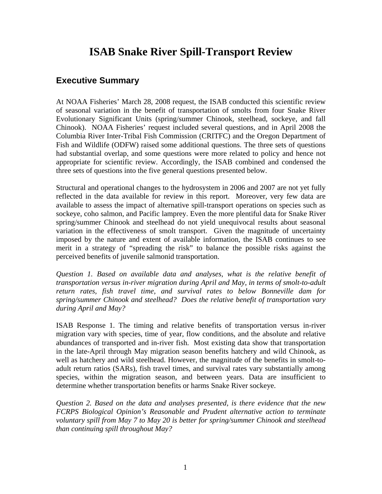# **ISAB Snake River Spill-Transport Review**

### <span id="page-3-0"></span>**Executive Summary**

At NOAA Fisheries' March 28, 2008 request, the ISAB conducted this scientific review of seasonal variation in the benefit of transportation of smolts from four Snake River Evolutionary Significant Units (spring/summer Chinook, steelhead, sockeye, and fall Chinook). NOAA Fisheries' request included several questions, and in April 2008 the Columbia River Inter-Tribal Fish Commission (CRITFC) and the Oregon Department of Fish and Wildlife (ODFW) raised some additional questions. The three sets of questions had substantial overlap, and some questions were more related to policy and hence not appropriate for scientific review. Accordingly, the ISAB combined and condensed the three sets of questions into the five general questions presented below.

Structural and operational changes to the hydrosystem in 2006 and 2007 are not yet fully reflected in the data available for review in this report. Moreover, very few data are available to assess the impact of alternative spill-transport operations on species such as sockeye, coho salmon, and Pacific lamprey. Even the more plentiful data for Snake River spring/summer Chinook and steelhead do not yield unequivocal results about seasonal variation in the effectiveness of smolt transport. Given the magnitude of uncertainty imposed by the nature and extent of available information, the ISAB continues to see merit in a strategy of "spreading the risk" to balance the possible risks against the perceived benefits of juvenile salmonid transportation.

*Question 1. Based on available data and analyses, what is the relative benefit of transportation versus in-river migration during April and May, in terms of smolt-to-adult return rates, fish travel time, and survival rates to below Bonneville dam for spring/summer Chinook and steelhead? Does the relative benefit of transportation vary during April and May?* 

ISAB Response 1. The timing and relative benefits of transportation versus in-river migration vary with species, time of year, flow conditions, and the absolute and relative abundances of transported and in-river fish. Most existing data show that transportation in the late-April through May migration season benefits hatchery and wild Chinook, as well as hatchery and wild steelhead. However, the magnitude of the benefits in smolt-toadult return ratios (SARs), fish travel times, and survival rates vary substantially among species, within the migration season, and between years. Data are insufficient to determine whether transportation benefits or harms Snake River sockeye.

*Question 2. Based on the data and analyses presented, is there evidence that the new FCRPS Biological Opinion's Reasonable and Prudent alternative action to terminate voluntary spill from May 7 to May 20 is better for spring/summer Chinook and steelhead than continuing spill throughout May?*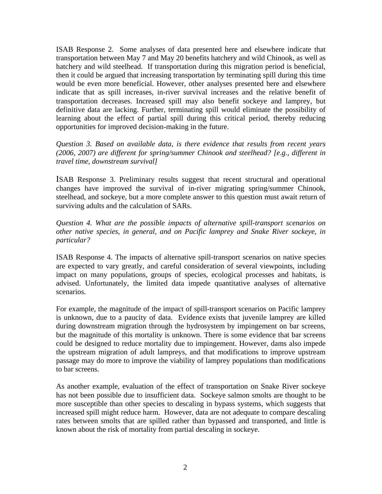ISAB Response 2. Some analyses of data presented here and elsewhere indicate that transportation between May 7 and May 20 benefits hatchery and wild Chinook, as well as hatchery and wild steelhead. If transportation during this migration period is beneficial, then it could be argued that increasing transportation by terminating spill during this time would be even more beneficial. However, other analyses presented here and elsewhere indicate that as spill increases, in-river survival increases and the relative benefit of transportation decreases. Increased spill may also benefit sockeye and lamprey, but definitive data are lacking. Further, terminating spill would eliminate the possibility of learning about the effect of partial spill during this critical period, thereby reducing opportunities for improved decision-making in the future.

*Question 3. Based on available data, is there evidence that results from recent years (2006, 2007) are different for spring/summer Chinook and steelhead? [e.g., different in travel time, downstream survival]* 

ISAB Response 3. Preliminary results suggest that recent structural and operational changes have improved the survival of in-river migrating spring/summer Chinook, steelhead, and sockeye, but a more complete answer to this question must await return of surviving adults and the calculation of SARs.

*Question 4. What are the possible impacts of alternative spill-transport scenarios on other native species, in general, and on Pacific lamprey and Snake River sockeye, in particular?* 

ISAB Response 4. The impacts of alternative spill-transport scenarios on native species are expected to vary greatly, and careful consideration of several viewpoints, including impact on many populations, groups of species, ecological processes and habitats, is advised. Unfortunately, the limited data impede quantitative analyses of alternative scenarios.

For example, the magnitude of the impact of spill-transport scenarios on Pacific lamprey is unknown, due to a paucity of data. Evidence exists that juvenile lamprey are killed during downstream migration through the hydrosystem by impingement on bar screens, but the magnitude of this mortality is unknown. There is some evidence that bar screens could be designed to reduce mortality due to impingement. However, dams also impede the upstream migration of adult lampreys, and that modifications to improve upstream passage may do more to improve the viability of lamprey populations than modifications to bar screens.

As another example, evaluation of the effect of transportation on Snake River sockeye has not been possible due to insufficient data. Sockeye salmon smolts are thought to be more susceptible than other species to descaling in bypass systems, which suggests that increased spill might reduce harm. However, data are not adequate to compare descaling rates between smolts that are spilled rather than bypassed and transported, and little is known about the risk of mortality from partial descaling in sockeye.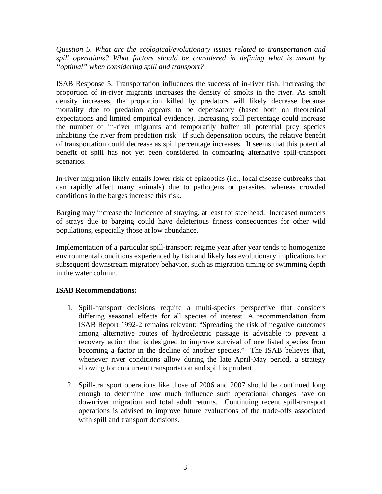*Question 5. What are the ecological/evolutionary issues related to transportation and spill operations? What factors should be considered in defining what is meant by "optimal" when considering spill and transport?* 

ISAB Response 5. Transportation influences the success of in-river fish. Increasing the proportion of in-river migrants increases the density of smolts in the river. As smolt density increases, the proportion killed by predators will likely decrease because mortality due to predation appears to be depensatory (based both on theoretical expectations and limited empirical evidence). Increasing spill percentage could increase the number of in-river migrants and temporarily buffer all potential prey species inhabiting the river from predation risk. If such depensation occurs, the relative benefit of transportation could decrease as spill percentage increases. It seems that this potential benefit of spill has not yet been considered in comparing alternative spill-transport scenarios.

In-river migration likely entails lower risk of epizootics (i.e., local disease outbreaks that can rapidly affect many animals) due to pathogens or parasites, whereas crowded conditions in the barges increase this risk.

Barging may increase the incidence of straying, at least for steelhead. Increased numbers of strays due to barging could have deleterious fitness consequences for other wild populations, especially those at low abundance.

Implementation of a particular spill-transport regime year after year tends to homogenize environmental conditions experienced by fish and likely has evolutionary implications for subsequent downstream migratory behavior, such as migration timing or swimming depth in the water column.

#### **ISAB Recommendations:**

- 1. Spill-transport decisions require a multi-species perspective that considers differing seasonal effects for all species of interest. A recommendation from ISAB Report 1992-2 remains relevant: "Spreading the risk of negative outcomes among alternative routes of hydroelectric passage is advisable to prevent a recovery action that is designed to improve survival of one listed species from becoming a factor in the decline of another species." The ISAB believes that, whenever river conditions allow during the late April-May period, a strategy allowing for concurrent transportation and spill is prudent.
- 2. Spill-transport operations like those of 2006 and 2007 should be continued long enough to determine how much influence such operational changes have on downriver migration and total adult returns. Continuing recent spill-transport operations is advised to improve future evaluations of the trade-offs associated with spill and transport decisions.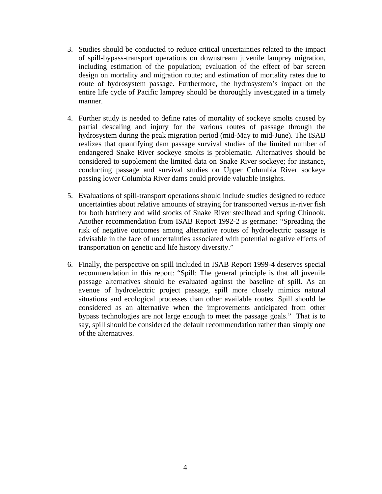- 3. Studies should be conducted to reduce critical uncertainties related to the impact of spill-bypass-transport operations on downstream juvenile lamprey migration, including estimation of the population; evaluation of the effect of bar screen design on mortality and migration route; and estimation of mortality rates due to route of hydrosystem passage. Furthermore, the hydrosystem's impact on the entire life cycle of Pacific lamprey should be thoroughly investigated in a timely manner.
- 4. Further study is needed to define rates of mortality of sockeye smolts caused by partial descaling and injury for the various routes of passage through the hydrosystem during the peak migration period (mid-May to mid-June). The ISAB realizes that quantifying dam passage survival studies of the limited number of endangered Snake River sockeye smolts is problematic. Alternatives should be considered to supplement the limited data on Snake River sockeye; for instance, conducting passage and survival studies on Upper Columbia River sockeye passing lower Columbia River dams could provide valuable insights.
- 5. Evaluations of spill-transport operations should include studies designed to reduce uncertainties about relative amounts of straying for transported versus in-river fish for both hatchery and wild stocks of Snake River steelhead and spring Chinook. Another recommendation from ISAB Report 1992-2 is germane: "Spreading the risk of negative outcomes among alternative routes of hydroelectric passage is advisable in the face of uncertainties associated with potential negative effects of transportation on genetic and life history diversity."
- 6. Finally, the perspective on spill included in ISAB Report 1999-4 deserves special recommendation in this report: "Spill: The general principle is that all juvenile passage alternatives should be evaluated against the baseline of spill. As an avenue of hydroelectric project passage, spill more closely mimics natural situations and ecological processes than other available routes. Spill should be considered as an alternative when the improvements anticipated from other bypass technologies are not large enough to meet the passage goals." That is to say, spill should be considered the default recommendation rather than simply one of the alternatives.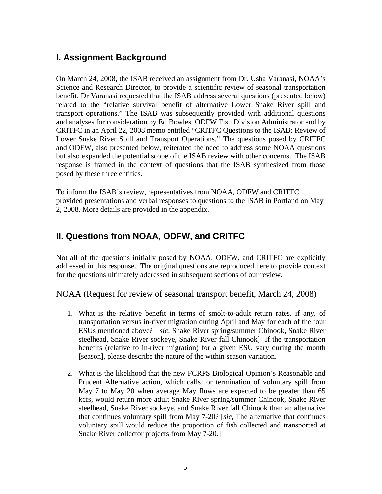# <span id="page-7-0"></span>**I. Assignment Background**

On March 24, 2008, the ISAB received an assignment from Dr. Usha Varanasi, NOAA's Science and Research Director, to provide a scientific review of seasonal transportation benefit. Dr Varanasi requested that the ISAB address several questions (presented below) related to the "relative survival benefit of alternative Lower Snake River spill and transport operations." The ISAB was subsequently provided with additional questions and analyses for consideration by Ed Bowles, ODFW Fish Division Administrator and by CRITFC in an April 22, 2008 memo entitled "CRITFC Questions to the ISAB: Review of Lower Snake River Spill and Transport Operations." The questions posed by CRITFC and ODFW, also presented below, reiterated the need to address some NOAA questions but also expanded the potential scope of the ISAB review with other concerns. The ISAB response is framed in the context of questions that the ISAB synthesized from those posed by these three entities.

To inform the ISAB's review, representatives from NOAA, ODFW and CRITFC provided presentations and verbal responses to questions to the ISAB in Portland on May 2, 2008. More details are provided in the appendix.

# **II. Questions from NOAA, ODFW, and CRITFC**

Not all of the questions initially posed by NOAA, ODFW, and CRITFC are explicitly addressed in this response. The original questions are reproduced here to provide context for the questions ultimately addressed in subsequent sections of our review.

NOAA (Request for review of seasonal transport benefit, March 24, 2008)

- 1. What is the relative benefit in terms of smolt-to-adult return rates, if any, of transportation versus in-river migration during April and May for each of the four ESUs mentioned above? [*sic*, Snake River spring/summer Chinook, Snake River steelhead, Snake River sockeye, Snake River fall Chinook] If the transportation benefits (relative to in-river migration) for a given ESU vary during the month [season], please describe the nature of the within season variation.
- 2. What is the likelihood that the new FCRPS Biological Opinion's Reasonable and Prudent Alternative action, which calls for termination of voluntary spill from May 7 to May 20 when average May flows are expected to be greater than 65 kcfs, would return more adult Snake River spring/summer Chinook, Snake River steelhead, Snake River sockeye, and Snake River fall Chinook than an alternative that continues voluntary spill from May 7-20? [*sic,* The alternative that continues voluntary spill would reduce the proportion of fish collected and transported at Snake River collector projects from May 7-20.]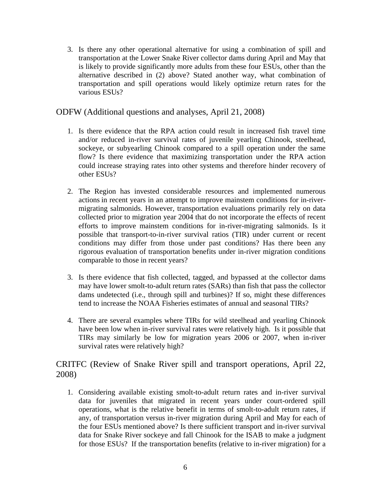3. Is there any other operational alternative for using a combination of spill and transportation at the Lower Snake River collector dams during April and May that is likely to provide significantly more adults from these four ESUs, other than the alternative described in (2) above? Stated another way, what combination of transportation and spill operations would likely optimize return rates for the various ESUs?

#### ODFW (Additional questions and analyses, April 21, 2008)

- 1. Is there evidence that the RPA action could result in increased fish travel time and/or reduced in-river survival rates of juvenile yearling Chinook, steelhead, sockeye, or subyearling Chinook compared to a spill operation under the same flow? Is there evidence that maximizing transportation under the RPA action could increase straying rates into other systems and therefore hinder recovery of other ESUs?
- 2. The Region has invested considerable resources and implemented numerous actions in recent years in an attempt to improve mainstem conditions for in-rivermigrating salmonids. However, transportation evaluations primarily rely on data collected prior to migration year 2004 that do not incorporate the effects of recent efforts to improve mainstem conditions for in-river-migrating salmonids. Is it possible that transport-to-in-river survival ratios (TIR) under current or recent conditions may differ from those under past conditions? Has there been any rigorous evaluation of transportation benefits under in-river migration conditions comparable to those in recent years?
- 3. Is there evidence that fish collected, tagged, and bypassed at the collector dams may have lower smolt-to-adult return rates (SARs) than fish that pass the collector dams undetected (i.e., through spill and turbines)? If so, might these differences tend to increase the NOAA Fisheries estimates of annual and seasonal TIRs?
- 4. There are several examples where TIRs for wild steelhead and yearling Chinook have been low when in-river survival rates were relatively high. Is it possible that TIRs may similarly be low for migration years 2006 or 2007, when in-river survival rates were relatively high?

CRITFC (Review of Snake River spill and transport operations, April 22, 2008)

1. Considering available existing smolt-to-adult return rates and in-river survival data for juveniles that migrated in recent years under court-ordered spill operations, what is the relative benefit in terms of smolt-to-adult return rates, if any, of transportation versus in-river migration during April and May for each of the four ESUs mentioned above? Is there sufficient transport and in-river survival data for Snake River sockeye and fall Chinook for the ISAB to make a judgment for those ESUs? If the transportation benefits (relative to in-river migration) for a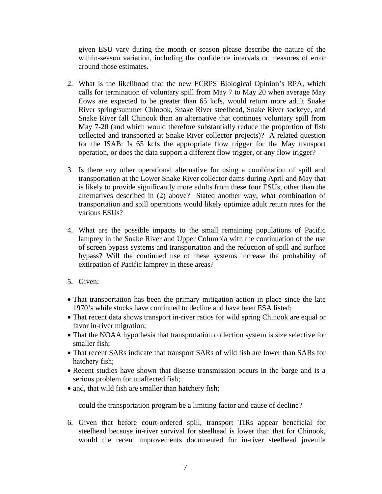given ESU vary during the month or season please describe the nature of the within-season variation, including the confidence intervals or measures of error around those estimates.

- 2. What is the likelihood that the new FCRPS Biological Opinion's RPA, which calls for termination of voluntary spill from May 7 to May 20 when average May flows are expected to be greater than 65 kcfs, would return more adult Snake River spring/summer Chinook, Snake River steelhead, Snake River sockeye, and Snake River fall Chinook than an alternative that continues voluntary spill from May 7-20 (and which would therefore substantially reduce the proportion of fish collected and transported at Snake River collector projects)? A related question for the ISAB: Is 65 kcfs the appropriate flow trigger for the May transport operation, or does the data support a different flow trigger, or any flow trigger?
- 3. Is there any other operational alternative for using a combination of spill and transportation at the Lower Snake River collector dams during April and May that is likely to provide significantly more adults from these four ESUs, other than the alternatives described in (2) above? Stated another way, what combination of transportation and spill operations would likely optimize adult return rates for the various ESUs?
- 4. What are the possible impacts to the small remaining populations of Pacific lamprey in the Snake River and Upper Columbia with the continuation of the use of screen bypass systems and transportation and the reduction of spill and surface bypass? Will the continued use of these systems increase the probability of extirpation of Pacific lamprey in these areas?
- 5. Given:
- That transportation has been the primary mitigation action in place since the late 1970's while stocks have continued to decline and have been ESA listed;
- That recent data shows transport in-river ratios for wild spring Chinook are equal or favor in-river migration;
- That the NOAA hypothesis that transportation collection system is size selective for smaller fish;
- That recent SARs indicate that transport SARs of wild fish are lower than SARs for hatchery fish;
- Recent studies have shown that disease transmission occurs in the barge and is a serious problem for unaffected fish;
- and, that wild fish are smaller than hatchery fish;

could the transportation program be a limiting factor and cause of decline?

6. Given that before court-ordered spill, transport TIRs appear beneficial for steelhead because in-river survival for steelhead is lower than that for Chinook, would the recent improvements documented for in-river steelhead juvenile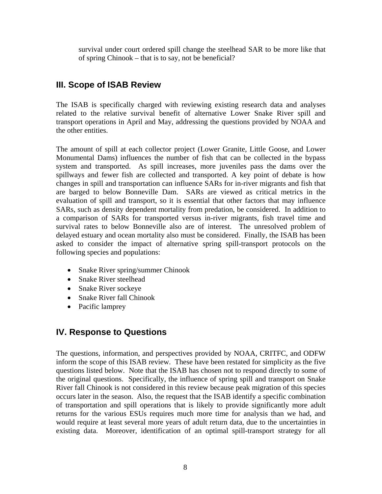<span id="page-10-0"></span>survival under court ordered spill change the steelhead SAR to be more like that of spring Chinook – that is to say, not be beneficial?

## **III. Scope of ISAB Review**

The ISAB is specifically charged with reviewing existing research data and analyses related to the relative survival benefit of alternative Lower Snake River spill and transport operations in April and May, addressing the questions provided by NOAA and the other entities.

The amount of spill at each collector project (Lower Granite, Little Goose, and Lower Monumental Dams) influences the number of fish that can be collected in the bypass system and transported. As spill increases, more juveniles pass the dams over the spillways and fewer fish are collected and transported. A key point of debate is how changes in spill and transportation can influence SARs for in-river migrants and fish that are barged to below Bonneville Dam. SARs are viewed as critical metrics in the evaluation of spill and transport, so it is essential that other factors that may influence SARs, such as density dependent mortality from predation, be considered. In addition to a comparison of SARs for transported versus in-river migrants, fish travel time and survival rates to below Bonneville also are of interest. The unresolved problem of delayed estuary and ocean mortality also must be considered. Finally, the ISAB has been asked to consider the impact of alternative spring spill-transport protocols on the following species and populations:

- Snake River spring/summer Chinook
- Snake River steelhead
- Snake River sockeye
- Snake River fall Chinook
- Pacific lamprey

## **IV. Response to Questions**

The questions, information, and perspectives provided by NOAA, CRITFC, and ODFW inform the scope of this ISAB review. These have been restated for simplicity as the five questions listed below. Note that the ISAB has chosen not to respond directly to some of the original questions. Specifically, the influence of spring spill and transport on Snake River fall Chinook is not considered in this review because peak migration of this species occurs later in the season. Also, the request that the ISAB identify a specific combination of transportation and spill operations that is likely to provide significantly more adult returns for the various ESUs requires much more time for analysis than we had, and would require at least several more years of adult return data, due to the uncertainties in existing data. Moreover, identification of an optimal spill-transport strategy for all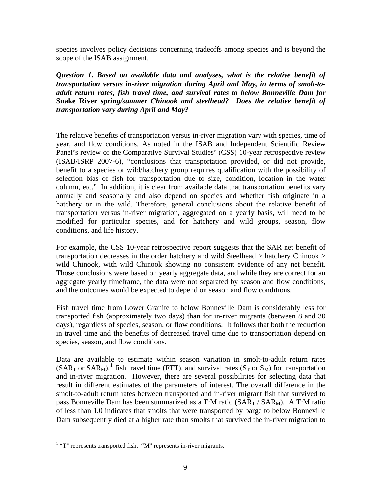<span id="page-11-0"></span>species involves policy decisions concerning tradeoffs among species and is beyond the scope of the ISAB assignment.

*Question 1. Based on available data and analyses, what is the relative benefit of transportation versus in-river migration during April and May, in terms of smolt-toadult return rates, fish travel time, and survival rates to below Bonneville Dam for*  **Snake River** *spring/summer Chinook and steelhead? Does the relative benefit of transportation vary during April and May?* 

The relative benefits of transportation versus in-river migration vary with species, time of year, and flow conditions. As noted in the ISAB and Independent Scientific Review Panel's review of the Comparative Survival Studies' (CSS) 10-year retrospective review (ISAB/ISRP 2007-6), "conclusions that transportation provided, or did not provide, benefit to a species or wild/hatchery group requires qualification with the possibility of selection bias of fish for transportation due to size, condition, location in the water column, etc." In addition, it is clear from available data that transportation benefits vary annually and seasonally and also depend on species and whether fish originate in a hatchery or in the wild. Therefore, general conclusions about the relative benefit of transportation versus in-river migration, aggregated on a yearly basis, will need to be modified for particular species, and for hatchery and wild groups, season, flow conditions, and life history.

For example, the CSS 10-year retrospective report suggests that the SAR net benefit of transportation decreases in the order hatchery and wild Steelhead > hatchery Chinook > wild Chinook, with wild Chinook showing no consistent evidence of any net benefit. Those conclusions were based on yearly aggregate data, and while they are correct for an aggregate yearly timeframe, the data were not separated by season and flow conditions, and the outcomes would be expected to depend on season and flow conditions.

Fish travel time from Lower Granite to below Bonneville Dam is considerably less for transported fish (approximately two days) than for in-river migrants (between 8 and 30 days), regardless of species, season, or flow conditions. It follows that both the reduction in travel time and the benefits of decreased travel time due to transportation depend on species, season, and flow conditions.

Data are available to estimate within season variation in smolt-to-adult return rates (SAR<sub>T</sub> or SAR<sub>M</sub>),<sup>[1](#page-11-0)</sup> fish travel time (FTT), and survival rates (S<sub>T</sub> or S<sub>M</sub>) for transportation and in-river migration. However, there are several possibilities for selecting data that result in different estimates of the parameters of interest. The overall difference in the smolt-to-adult return rates between transported and in-river migrant fish that survived to pass Bonneville Dam has been summarized as a T:M ratio  $(SAR_T / SAR_M)$ . A T:M ratio of less than 1.0 indicates that smolts that were transported by barge to below Bonneville Dam subsequently died at a higher rate than smolts that survived the in-river migration to

l

 $1$  "T" represents transported fish. "M" represents in-river migrants.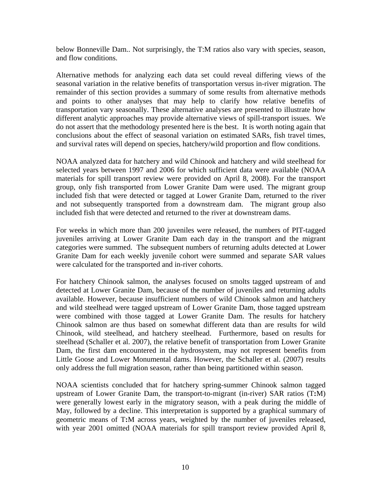below Bonneville Dam.. Not surprisingly, the T:M ratios also vary with species, season, and flow conditions.

Alternative methods for analyzing each data set could reveal differing views of the seasonal variation in the relative benefits of transportation versus in-river migration. The remainder of this section provides a summary of some results from alternative methods and points to other analyses that may help to clarify how relative benefits of transportation vary seasonally. These alternative analyses are presented to illustrate how different analytic approaches may provide alternative views of spill-transport issues. We do not assert that the methodology presented here is the best. It is worth noting again that conclusions about the effect of seasonal variation on estimated SARs, fish travel times, and survival rates will depend on species, hatchery/wild proportion and flow conditions.

NOAA analyzed data for hatchery and wild Chinook and hatchery and wild steelhead for selected years between 1997 and 2006 for which sufficient data were available (NOAA materials for spill transport review were provided on April 8, 2008). For the transport group, only fish transported from Lower Granite Dam were used. The migrant group included fish that were detected or tagged at Lower Granite Dam, returned to the river and not subsequently transported from a downstream dam. The migrant group also included fish that were detected and returned to the river at downstream dams.

For weeks in which more than 200 juveniles were released, the numbers of PIT-tagged juveniles arriving at Lower Granite Dam each day in the transport and the migrant categories were summed. The subsequent numbers of returning adults detected at Lower Granite Dam for each weekly juvenile cohort were summed and separate SAR values were calculated for the transported and in-river cohorts.

For hatchery Chinook salmon, the analyses focused on smolts tagged upstream of and detected at Lower Granite Dam, because of the number of juveniles and returning adults available. However, because insufficient numbers of wild Chinook salmon and hatchery and wild steelhead were tagged upstream of Lower Granite Dam, those tagged upstream were combined with those tagged at Lower Granite Dam. The results for hatchery Chinook salmon are thus based on somewhat different data than are results for wild Chinook, wild steelhead, and hatchery steelhead. Furthermore, based on results for steelhead (Schaller et al. 2007), the relative benefit of transportation from Lower Granite Dam, the first dam encountered in the hydrosystem, may not represent benefits from Little Goose and Lower Monumental dams. However, the Schaller et al. (2007) results only address the full migration season, rather than being partitioned within season.

NOAA scientists concluded that for hatchery spring-summer Chinook salmon tagged upstream of Lower Granite Dam, the transport-to-migrant (in-river) SAR ratios (T**:**M) were generally lowest early in the migratory season, with a peak during the middle of May, followed by a decline. This interpretation is supported by a graphical summary of geometric means of T**:**M across years, weighted by the number of juveniles released, with year 2001 omitted (NOAA materials for spill transport review provided April 8,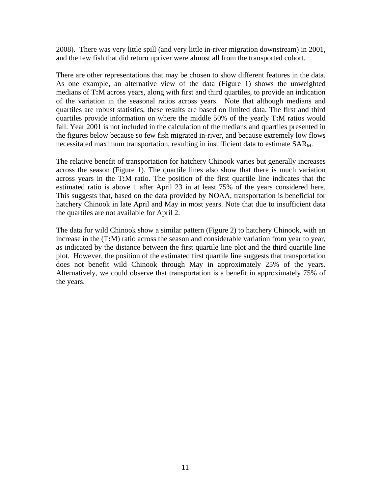2008). There was very little spill (and very little in-river migration downstream) in 2001, and the few fish that did return upriver were almost all from the transported cohort.

There are other representations that may be chosen to show different features in the data. As one example, an alternative view of the data (Figure 1) shows the unweighted medians of T**:**M across years, along with first and third quartiles, to provide an indication of the variation in the seasonal ratios across years. Note that although medians and quartiles are robust statistics, these results are based on limited data. The first and third quartiles provide information on where the middle 50% of the yearly T**:**M ratios would fall. Year 2001 is not included in the calculation of the medians and quartiles presented in the figures below because so few fish migrated in-river, and because extremely low flows necessitated maximum transportation, resulting in insufficient data to estimate SAR<sub>M</sub>.

The relative benefit of transportation for hatchery Chinook varies but generally increases across the season (Figure 1). The quartile lines also show that there is much variation across years in the T**:**M ratio. The position of the first quartile line indicates that the estimated ratio is above 1 after April 23 in at least 75% of the years considered here. This suggests that, based on the data provided by NOAA, transportation is beneficial for hatchery Chinook in late April and May in most years. Note that due to insufficient data the quartiles are not available for April 2.

The data for wild Chinook show a similar pattern (Figure 2) to hatchery Chinook, with an increase in the (T**:**M) ratio across the season and considerable variation from year to year, as indicated by the distance between the first quartile line plot and the third quartile line plot. However, the position of the estimated first quartile line suggests that transportation does not benefit wild Chinook through May in approximately 25% of the years. Alternatively, we could observe that transportation is a benefit in approximately 75% of the years.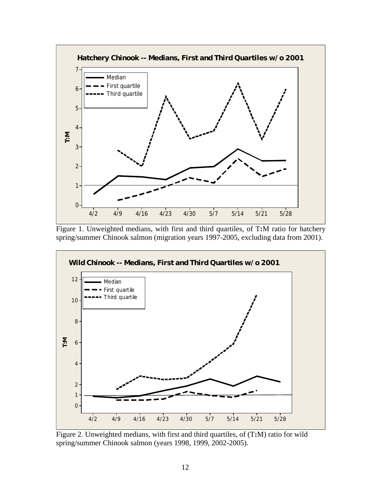

Figure 1. Unweighted medians, with first and third quartiles, of T**:**M ratio for hatchery spring/summer Chinook salmon (migration years 1997-2005, excluding data from 2001).



Figure 2. Unweighted medians, with first and third quartiles, of (T**:**M) ratio for wild spring/summer Chinook salmon (years 1998, 1999, 2002-2005).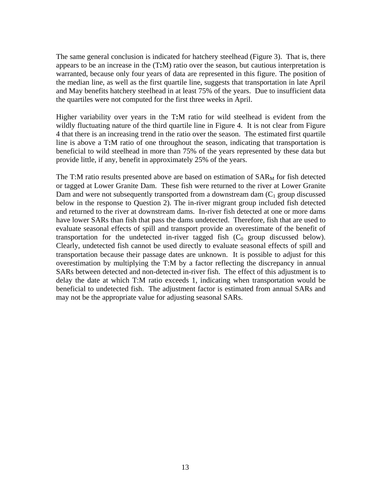The same general conclusion is indicated for hatchery steelhead (Figure 3). That is, there appears to be an increase in the (T**:**M) ratio over the season, but cautious interpretation is warranted, because only four years of data are represented in this figure. The position of the median line, as well as the first quartile line, suggests that transportation in late April and May benefits hatchery steelhead in at least 75% of the years. Due to insufficient data the quartiles were not computed for the first three weeks in April.

Higher variability over years in the T**:**M ratio for wild steelhead is evident from the wildly fluctuating nature of the third quartile line in Figure 4. It is not clear from Figure 4 that there is an increasing trend in the ratio over the season. The estimated first quartile line is above a T**:**M ratio of one throughout the season, indicating that transportation is beneficial to wild steelhead in more than 75% of the years represented by these data but provide little, if any, benefit in approximately 25% of the years.

The T:M ratio results presented above are based on estimation of  $SAR_M$  for fish detected or tagged at Lower Granite Dam. These fish were returned to the river at Lower Granite Dam and were not subsequently transported from a downstream dam  $(C_1$  group discussed below in the response to Question 2). The in-river migrant group included fish detected and returned to the river at downstream dams. In-river fish detected at one or more dams have lower SARs than fish that pass the dams undetected. Therefore, fish that are used to evaluate seasonal effects of spill and transport provide an overestimate of the benefit of transportation for the undetected in-river tagged fish  $(C_0$  group discussed below). Clearly, undetected fish cannot be used directly to evaluate seasonal effects of spill and transportation because their passage dates are unknown. It is possible to adjust for this overestimation by multiplying the T:M by a factor reflecting the discrepancy in annual SARs between detected and non-detected in-river fish. The effect of this adjustment is to delay the date at which T:M ratio exceeds 1, indicating when transportation would be beneficial to undetected fish. The adjustment factor is estimated from annual SARs and may not be the appropriate value for adjusting seasonal SARs.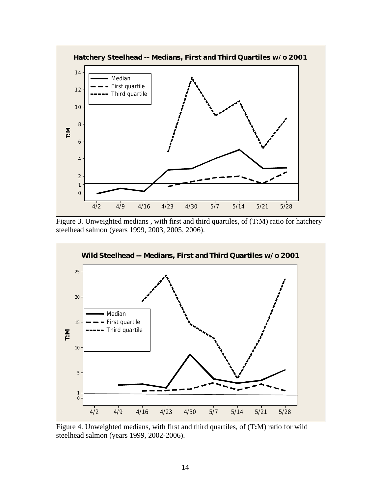

Figure 3. Unweighted medians , with first and third quartiles, of (T**:**M) ratio for hatchery steelhead salmon (years 1999, 2003, 2005, 2006).



Figure 4. Unweighted medians, with first and third quartiles, of (T**:**M) ratio for wild steelhead salmon (years 1999, 2002-2006).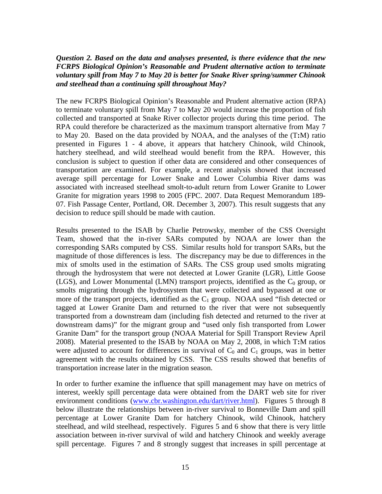#### <span id="page-17-0"></span>*Question 2. Based on the data and analyses presented, is there evidence that the new FCRPS Biological Opinion's Reasonable and Prudent alternative action to terminate voluntary spill from May 7 to May 20 is better for Snake River spring/summer Chinook and steelhead than a continuing spill throughout May?*

The new FCRPS Biological Opinion's Reasonable and Prudent alternative action (RPA) to terminate voluntary spill from May 7 to May 20 would increase the proportion of fish collected and transported at Snake River collector projects during this time period. The RPA could therefore be characterized as the maximum transport alternative from May 7 to May 20. Based on the data provided by NOAA, and the analyses of the (T**:**M) ratio presented in Figures 1 - 4 above, it appears that hatchery Chinook, wild Chinook, hatchery steelhead, and wild steelhead would benefit from the RPA. However, this conclusion is subject to question if other data are considered and other consequences of transportation are examined. For example, a recent analysis showed that increased average spill percentage for Lower Snake and Lower Columbia River dams was associated with increased steelhead smolt-to-adult return from Lower Granite to Lower Granite for migration years 1998 to 2005 (FPC. 2007. Data Request Memorandum 189- 07. Fish Passage Center, Portland, OR. December 3, 2007). This result suggests that any decision to reduce spill should be made with caution.

Results presented to the ISAB by Charlie Petrowsky, member of the CSS Oversight Team, showed that the in-river SARs computed by NOAA are lower than the corresponding SARs computed by CSS. Similar results hold for transport SARs, but the magnitude of those differences is less. The discrepancy may be due to differences in the mix of smolts used in the estimation of SARs. The CSS group used smolts migrating through the hydrosystem that were not detected at Lower Granite (LGR), Little Goose (LGS), and Lower Monumental (LMN) transport projects, identified as the  $C_0$  group, or smolts migrating through the hydrosystem that were collected and bypassed at one or more of the transport projects, identified as the  $C_1$  group. NOAA used "fish detected or tagged at Lower Granite Dam and returned to the river that were not subsequently transported from a downstream dam (including fish detected and returned to the river at downstream dams)" for the migrant group and "used only fish transported from Lower Granite Dam" for the transport group (NOAA Material for Spill Transport Review April 2008). Material presented to the ISAB by NOAA on May 2, 2008, in which T**:**M ratios were adjusted to account for differences in survival of  $C_0$  and  $C_1$  groups, was in better agreement with the results obtained by CSS. The CSS results showed that benefits of transportation increase later in the migration season.

In order to further examine the influence that spill management may have on metrics of interest, weekly spill percentage data were obtained from the DART web site for river environment conditions ([www.cbr.washington.edu/dart/river.html\)](http://www.cbr.washington.edu/dart/river.html). Figures 5 through 8 below illustrate the relationships between in-river survival to Bonneville Dam and spill percentage at Lower Granite Dam for hatchery Chinook, wild Chinook, hatchery steelhead, and wild steelhead, respectively. Figures 5 and 6 show that there is very little association between in-river survival of wild and hatchery Chinook and weekly average spill percentage. Figures 7 and 8 strongly suggest that increases in spill percentage at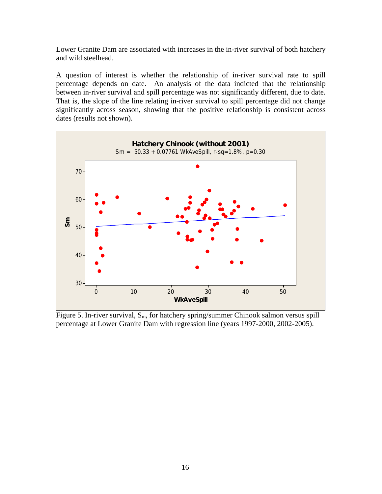Lower Granite Dam are associated with increases in the in-river survival of both hatchery and wild steelhead.

A question of interest is whether the relationship of in-river survival rate to spill percentage depends on date. An analysis of the data indicted that the relationship between in-river survival and spill percentage was not significantly different, due to date. That is, the slope of the line relating in-river survival to spill percentage did not change significantly across season, showing that the positive relationship is consistent across dates (results not shown).



Figure 5. In-river survival,  $S_m$ , for hatchery spring/summer Chinook salmon versus spill percentage at Lower Granite Dam with regression line (years 1997-2000, 2002-2005).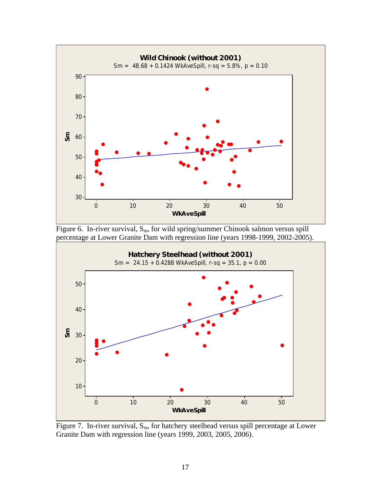

Figure 6. In-river survival,  $S_m$ , for wild spring/summer Chinook salmon versus spill percentage at Lower Granite Dam with regression line (years 1998-1999, 2002-2005).



Figure 7. In-river survival,  $S_m$ , for hatchery steelhead versus spill percentage at Lower Granite Dam with regression line (years 1999, 2003, 2005, 2006).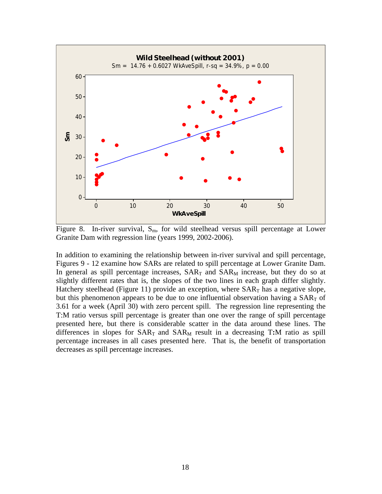

Figure 8. In-river survival,  $S_m$ , for wild steelhead versus spill percentage at Lower Granite Dam with regression line (years 1999, 2002-2006).

In addition to examining the relationship between in-river survival and spill percentage, Figures 9 - 12 examine how SARs are related to spill percentage at Lower Granite Dam. In general as spill percentage increases,  $SAR<sub>T</sub>$  and  $SAR<sub>M</sub>$  increase, but they do so at slightly different rates that is, the slopes of the two lines in each graph differ slightly. Hatchery steelhead (Figure 11) provide an exception, where  $SAR<sub>T</sub>$  has a negative slope, but this phenomenon appears to be due to one influential observation having a  $SAR<sub>T</sub>$  of 3.61 for a week (April 30) with zero percent spill. The regression line representing the T:M ratio versus spill percentage is greater than one over the range of spill percentage presented here, but there is considerable scatter in the data around these lines. The differences in slopes for  $SAR_T$  and  $SAR_M$  result in a decreasing T:M ratio as spill percentage increases in all cases presented here. That is, the benefit of transportation decreases as spill percentage increases.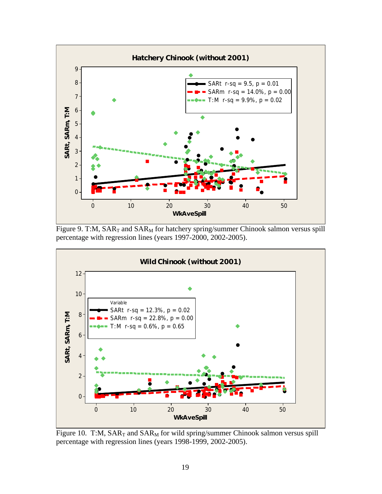

Figure 9. T:M,  $SAR_T$  and  $SAR_M$  for hatchery spring/summer Chinook salmon versus spill percentage with regression lines (years 1997-2000, 2002-2005).



Figure 10. T:M,  $SAR_T$  and  $SAR_M$  for wild spring/summer Chinook salmon versus spill percentage with regression lines (years 1998-1999, 2002-2005).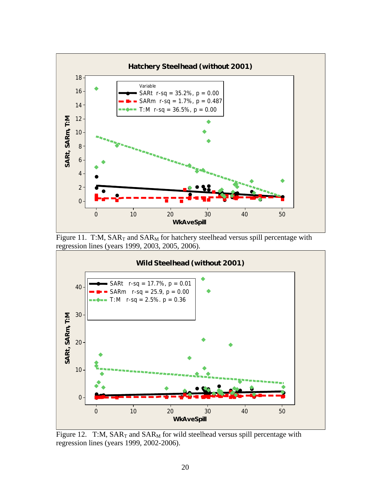

Figure 11. T:M,  $SAR_T$  and  $SAR_M$  for hatchery steelhead versus spill percentage with regression lines (years 1999, 2003, 2005, 2006).



Figure 12. T:M,  $SAR_T$  and  $SAR_M$  for wild steelhead versus spill percentage with regression lines (years 1999, 2002-2006).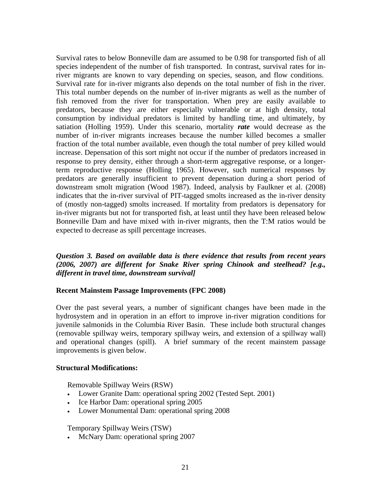<span id="page-23-0"></span>Survival rates to below Bonneville dam are assumed to be 0.98 for transported fish of all species independent of the number of fish transported. In contrast, survival rates for inriver migrants are known to vary depending on species, season, and flow conditions. Survival rate for in-river migrants also depends on the total number of fish in the river. This total number depends on the number of in-river migrants as well as the number of fish removed from the river for transportation. When prey are easily available to predators, because they are either especially vulnerable or at high density, total consumption by individual predators is limited by handling time, and ultimately, by satiation (Holling 1959). Under this scenario, mortality *rate* would decrease as the number of in-river migrants increases because the number killed becomes a smaller fraction of the total number available, even though the total number of prey killed would increase. Depensation of this sort might not occur if the number of predators increased in response to prey density, either through a short-term aggregative response, or a longerterm reproductive response (Holling 1965). However, such numerical responses by predators are generally insufficient to prevent depensation during a short period of downstream smolt migration (Wood 1987). Indeed, analysis by Faulkner et al. (2008) indicates that the in-river survival of PIT-tagged smolts increased as the in-river density of (mostly non-tagged) smolts increased. If mortality from predators is depensatory for in-river migrants but not for transported fish, at least until they have been released below Bonneville Dam and have mixed with in-river migrants, then the T:M ratios would be expected to decrease as spill percentage increases.

*Question 3. Based on available data is there evidence that results from recent years (2006, 2007) are different for Snake River spring Chinook and steelhead? [e.g., different in travel time, downstream survival]* 

#### **Recent Mainstem Passage Improvements (FPC 2008)**

Over the past several years, a number of significant changes have been made in the hydrosystem and in operation in an effort to improve in-river migration conditions for juvenile salmonids in the Columbia River Basin. These include both structural changes (removable spillway weirs, temporary spillway weirs, and extension of a spillway wall) and operational changes (spill). A brief summary of the recent mainstem passage improvements is given below.

#### **Structural Modifications:**

Removable Spillway Weirs (RSW)

- Lower Granite Dam: operational spring 2002 (Tested Sept. 2001)
- Ice Harbor Dam: operational spring 2005
- Lower Monumental Dam: operational spring 2008

Temporary Spillway Weirs (TSW)

• McNary Dam: operational spring 2007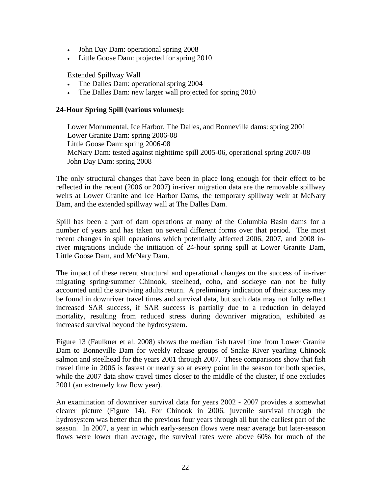- John Day Dam: operational spring 2008
- Little Goose Dam: projected for spring 2010

Extended Spillway Wall

- The Dalles Dam: operational spring 2004
- The Dalles Dam: new larger wall projected for spring 2010

#### **24-Hour Spring Spill (various volumes):**

Lower Monumental, Ice Harbor, The Dalles, and Bonneville dams: spring 2001 Lower Granite Dam: spring 2006-08 Little Goose Dam: spring 2006-08 McNary Dam: tested against nighttime spill 2005-06, operational spring 2007-08 John Day Dam: spring 2008

The only structural changes that have been in place long enough for their effect to be reflected in the recent (2006 or 2007) in-river migration data are the removable spillway weirs at Lower Granite and Ice Harbor Dams, the temporary spillway weir at McNary Dam, and the extended spillway wall at The Dalles Dam.

Spill has been a part of dam operations at many of the Columbia Basin dams for a number of years and has taken on several different forms over that period. The most recent changes in spill operations which potentially affected 2006, 2007, and 2008 inriver migrations include the initiation of 24-hour spring spill at Lower Granite Dam, Little Goose Dam, and McNary Dam.

The impact of these recent structural and operational changes on the success of in-river migrating spring/summer Chinook, steelhead, coho, and sockeye can not be fully accounted until the surviving adults return. A preliminary indication of their success may be found in downriver travel times and survival data, but such data may not fully reflect increased SAR success, if SAR success is partially due to a reduction in delayed mortality, resulting from reduced stress during downriver migration, exhibited as increased survival beyond the hydrosystem.

Figure 13 (Faulkner et al. 2008) shows the median fish travel time from Lower Granite Dam to Bonneville Dam for weekly release groups of Snake River yearling Chinook salmon and steelhead for the years 2001 through 2007. These comparisons show that fish travel time in 2006 is fastest or nearly so at every point in the season for both species, while the 2007 data show travel times closer to the middle of the cluster, if one excludes 2001 (an extremely low flow year).

An examination of downriver survival data for years 2002 - 2007 provides a somewhat clearer picture (Figure 14). For Chinook in 2006, juvenile survival through the hydrosystem was better than the previous four years through all but the earliest part of the season. In 2007, a year in which early-season flows were near average but later-season flows were lower than average, the survival rates were above 60% for much of the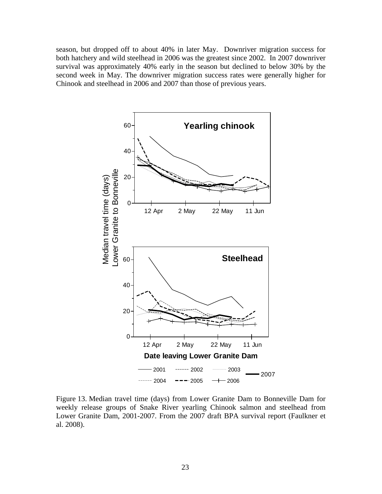season, but dropped off to about 40% in later May. Downriver migration success for both hatchery and wild steelhead in 2006 was the greatest since 2002. In 2007 downriver survival was approximately 40% early in the season but declined to below 30% by the second week in May. The downriver migration success rates were generally higher for Chinook and steelhead in 2006 and 2007 than those of previous years.



Figure 13. Median travel time (days) from Lower Granite Dam to Bonneville Dam for weekly release groups of Snake River yearling Chinook salmon and steelhead from Lower Granite Dam, 2001-2007. From the 2007 draft BPA survival report (Faulkner et al. 2008).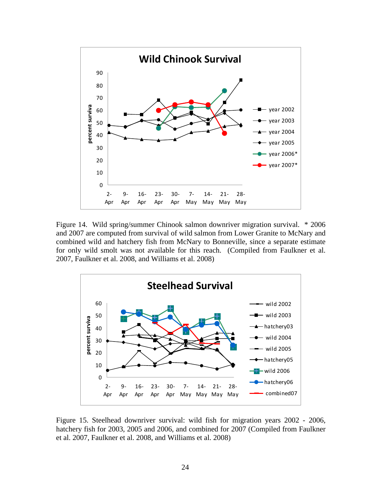

Figure 14. Wild spring/summer Chinook salmon downriver migration survival. \* 2006 and 2007 are computed from survival of wild salmon from Lower Granite to McNary and combined wild and hatchery fish from McNary to Bonneville, since a separate estimate for only wild smolt was not available for this reach. (Compiled from Faulkner et al. 2007, Faulkner et al. 2008, and Williams et al. 2008)



Figure 15. Steelhead downriver survival: wild fish for migration years 2002 - 2006, hatchery fish for 2003, 2005 and 2006, and combined for 2007 (Compiled from Faulkner et al. 2007, Faulkner et al. 2008, and Williams et al. 2008)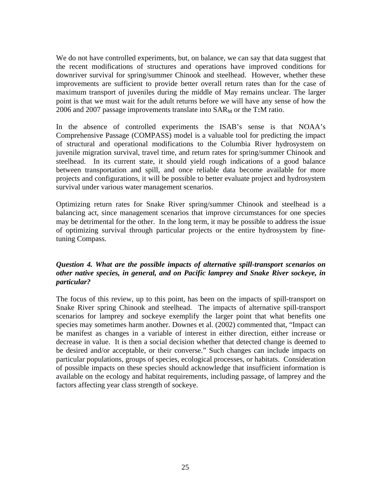<span id="page-27-0"></span>We do not have controlled experiments, but, on balance, we can say that data suggest that the recent modifications of structures and operations have improved conditions for downriver survival for spring/summer Chinook and steelhead. However, whether these improvements are sufficient to provide better overall return rates than for the case of maximum transport of juveniles during the middle of May remains unclear. The larger point is that we must wait for the adult returns before we will have any sense of how the 2006 and 2007 passage improvements translate into SARM or the T**:**M ratio.

In the absence of controlled experiments the ISAB's sense is that NOAA's Comprehensive Passage (COMPASS) model is a valuable tool for predicting the impact of structural and operational modifications to the Columbia River hydrosystem on juvenile migration survival, travel time, and return rates for spring/summer Chinook and steelhead. In its current state, it should yield rough indications of a good balance between transportation and spill, and once reliable data become available for more projects and configurations, it will be possible to better evaluate project and hydrosystem survival under various water management scenarios.

Optimizing return rates for Snake River spring/summer Chinook and steelhead is a balancing act, since management scenarios that improve circumstances for one species may be detrimental for the other. In the long term, it may be possible to address the issue of optimizing survival through particular projects or the entire hydrosystem by finetuning Compass.

#### *Question 4. What are the possible impacts of alternative spill-transport scenarios on other native species, in general, and on Pacific lamprey and Snake River sockeye, in particular?*

The focus of this review, up to this point, has been on the impacts of spill-transport on Snake River spring Chinook and steelhead. The impacts of alternative spill-transport scenarios for lamprey and sockeye exemplify the larger point that what benefits one species may sometimes harm another. Downes et al. (2002) commented that, "Impact can be manifest as changes in a variable of interest in either direction, either increase or decrease in value. It is then a social decision whether that detected change is deemed to be desired and/or acceptable, or their converse." Such changes can include impacts on particular populations, groups of species, ecological processes, or habitats. Consideration of possible impacts on these species should acknowledge that insufficient information is available on the ecology and habitat requirements, including passage, of lamprey and the factors affecting year class strength of sockeye.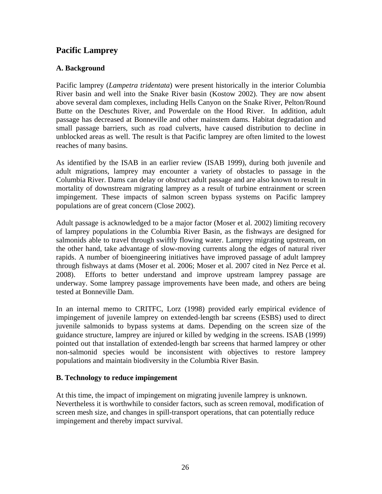### <span id="page-28-0"></span>**Pacific Lamprey**

#### **A. Background**

Pacific lamprey (*Lampetra tridentata*) were present historically in the interior Columbia River basin and well into the Snake River basin (Kostow 2002). They are now absent above several dam complexes, including Hells Canyon on the Snake River, Pelton/Round Butte on the Deschutes River, and Powerdale on the Hood River. In addition, adult passage has decreased at Bonneville and other mainstem dams. Habitat degradation and small passage barriers, such as road culverts, have caused distribution to decline in unblocked areas as well. The result is that Pacific lamprey are often limited to the lowest reaches of many basins.

As identified by the ISAB in an earlier review (ISAB 1999), during both juvenile and adult migrations, lamprey may encounter a variety of obstacles to passage in the Columbia River. Dams can delay or obstruct adult passage and are also known to result in mortality of downstream migrating lamprey as a result of turbine entrainment or screen impingement. These impacts of salmon screen bypass systems on Pacific lamprey populations are of great concern (Close 2002).

Adult passage is acknowledged to be a major factor (Moser et al. 2002) limiting recovery of lamprey populations in the Columbia River Basin, as the fishways are designed for salmonids able to travel through swiftly flowing water. Lamprey migrating upstream, on the other hand, take advantage of slow-moving currents along the edges of natural river rapids. A number of bioengineering initiatives have improved passage of adult lamprey through fishways at dams (Moser et al. 2006; Moser et al. 2007 cited in Nez Perce et al. 2008). Efforts to better understand and improve upstream lamprey passage are underway. Some lamprey passage improvements have been made, and others are being tested at Bonneville Dam.

In an internal memo to CRITFC, Lorz (1998) provided early empirical evidence of impingement of juvenile lamprey on extended-length bar screens (ESBS) used to direct juvenile salmonids to bypass systems at dams. Depending on the screen size of the guidance structure, lamprey are injured or killed by wedging in the screens. ISAB (1999) pointed out that installation of extended-length bar screens that harmed lamprey or other non-salmonid species would be inconsistent with objectives to restore lamprey populations and maintain biodiversity in the Columbia River Basin.

#### **B. Technology to reduce impingement**

At this time, the impact of impingement on migrating juvenile lamprey is unknown. Nevertheless it is worthwhile to consider factors, such as screen removal, modification of screen mesh size, and changes in spill-transport operations, that can potentially reduce impingement and thereby impact survival.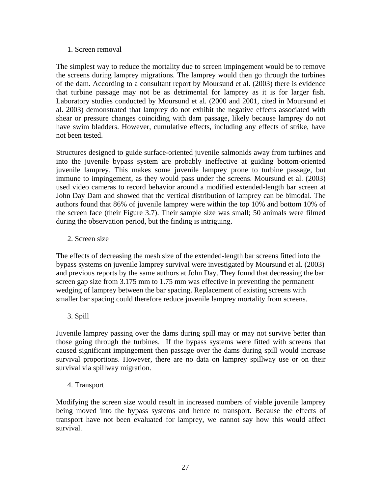#### 1. Screen removal

The simplest way to reduce the mortality due to screen impingement would be to remove the screens during lamprey migrations. The lamprey would then go through the turbines of the dam. According to a consultant report by Moursund et al. (2003) there is evidence that turbine passage may not be as detrimental for lamprey as it is for larger fish. Laboratory studies conducted by Moursund et al. (2000 and 2001, cited in Moursund et al. 2003) demonstrated that lamprey do not exhibit the negative effects associated with shear or pressure changes coinciding with dam passage, likely because lamprey do not have swim bladders. However, cumulative effects, including any effects of strike, have not been tested.

Structures designed to guide surface-oriented juvenile salmonids away from turbines and into the juvenile bypass system are probably ineffective at guiding bottom-oriented juvenile lamprey. This makes some juvenile lamprey prone to turbine passage, but immune to impingement, as they would pass under the screens. Moursund et al. (2003) used video cameras to record behavior around a modified extended-length bar screen at John Day Dam and showed that the vertical distribution of lamprey can be bimodal. The authors found that 86% of juvenile lamprey were within the top 10% and bottom 10% of the screen face (their Figure 3.7). Their sample size was small; 50 animals were filmed during the observation period, but the finding is intriguing.

#### 2. Screen size

The effects of decreasing the mesh size of the extended-length bar screens fitted into the bypass systems on juvenile lamprey survival were investigated by Moursund et al. (2003) and previous reports by the same authors at John Day. They found that decreasing the bar screen gap size from 3.175 mm to 1.75 mm was effective in preventing the permanent wedging of lamprey between the bar spacing. Replacement of existing screens with smaller bar spacing could therefore reduce juvenile lamprey mortality from screens.

#### 3. Spill

Juvenile lamprey passing over the dams during spill may or may not survive better than those going through the turbines. If the bypass systems were fitted with screens that caused significant impingement then passage over the dams during spill would increase survival proportions. However, there are no data on lamprey spillway use or on their survival via spillway migration.

#### 4. Transport

Modifying the screen size would result in increased numbers of viable juvenile lamprey being moved into the bypass systems and hence to transport. Because the effects of transport have not been evaluated for lamprey, we cannot say how this would affect survival.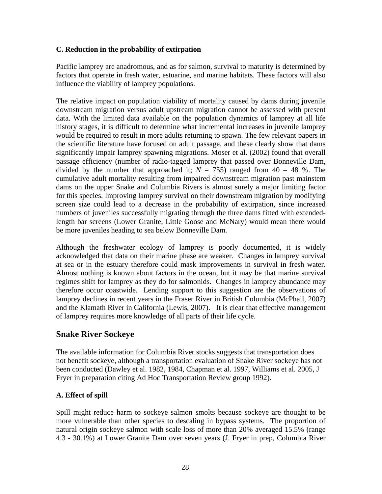#### <span id="page-30-0"></span>**C. Reduction in the probability of extirpation**

Pacific lamprey are anadromous, and as for salmon, survival to maturity is determined by factors that operate in fresh water, estuarine, and marine habitats. These factors will also influence the viability of lamprey populations.

The relative impact on population viability of mortality caused by dams during juvenile downstream migration versus adult upstream migration cannot be assessed with present data. With the limited data available on the population dynamics of lamprey at all life history stages, it is difficult to determine what incremental increases in juvenile lamprey would be required to result in more adults returning to spawn. The few relevant papers in the scientific literature have focused on adult passage, and these clearly show that dams significantly impair lamprey spawning migrations. Moser et al. (2002) found that overall passage efficiency (number of radio-tagged lamprey that passed over Bonneville Dam, divided by the number that approached it;  $N = 755$ ) ranged from 40 – 48 %. The cumulative adult mortality resulting from impaired downstream migration past mainstem dams on the upper Snake and Columbia Rivers is almost surely a major limiting factor for this species. Improving lamprey survival on their downstream migration by modifying screen size could lead to a decrease in the probability of extirpation, since increased numbers of juveniles successfully migrating through the three dams fitted with extendedlength bar screens (Lower Granite, Little Goose and McNary) would mean there would be more juveniles heading to sea below Bonneville Dam.

Although the freshwater ecology of lamprey is poorly documented, it is widely acknowledged that data on their marine phase are weaker. Changes in lamprey survival at sea or in the estuary therefore could mask improvements in survival in fresh water. Almost nothing is known about factors in the ocean, but it may be that marine survival regimes shift for lamprey as they do for salmonids. Changes in lamprey abundance may therefore occur coastwide. Lending support to this suggestion are the observations of lamprey declines in recent years in the Fraser River in British Columbia (McPhail, 2007) and the Klamath River in California (Lewis, 2007). It is clear that effective management of lamprey requires more knowledge of all parts of their life cycle.

#### **Snake River Sockeye**

The available information for Columbia River stocks suggests that transportation does not benefit sockeye, although a transportation evaluation of Snake River sockeye has not been conducted (Dawley et al. 1982, 1984, Chapman et al. 1997, Williams et al. 2005, J Fryer in preparation citing Ad Hoc Transportation Review group 1992).

#### **A. Effect of spill**

Spill might reduce harm to sockeye salmon smolts because sockeye are thought to be more vulnerable than other species to descaling in bypass systems. The proportion of natural origin sockeye salmon with scale loss of more than 20% averaged 15.5% (range 4.3 - 30.1%) at Lower Granite Dam over seven years (J. Fryer in prep, Columbia River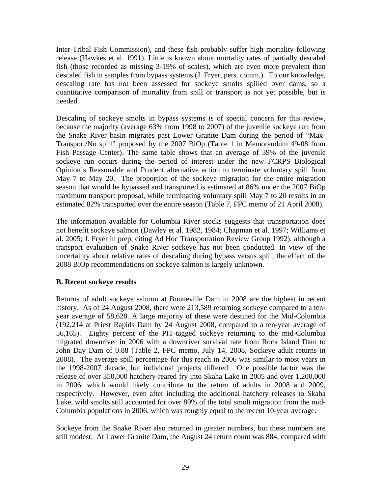Inter-Tribal Fish Commission), and these fish probably suffer high mortality following release (Hawkes et al. 1991). Little is known about mortality rates of partially descaled fish (those recorded as missing 3-19% of scales), which are even more prevalent than descaled fish in samples from bypass systems (J. Fryer, pers. comm.). To our knowledge, descaling rate has not been assessed for sockeye smolts spilled over dams, so a quantitative comparison of mortality from spill or transport is not yet possible, but is needed.

Descaling of sockeye smolts in bypass systems is of special concern for this review, because the majority (average 63% from 1998 to 2007) of the juvenile sockeye run from the Snake River basin migrates past Lower Granite Dam during the period of "Max-Transport/No spill" proposed by the 2007 BiOp (Table 1 in Memorandum 49-08 from Fish Passage Center). The same table shows that an average of 39% of the juvenile sockeye run occurs during the period of interest under the new FCRPS Biological Opinion's Reasonable and Prudent alternative action to terminate voluntary spill from May 7 to May 20. The proportion of the sockeye migration for the entire migration season that would be bypassed and transported is estimated at 86% under the 2007 BiOp maximum transport proposal, while terminating voluntary spill May 7 to 20 results in an estimated 82% transported over the entire season (Table 7, FPC memo of 21 April 2008).

The information available for Columbia River stocks suggests that transportation does not benefit sockeye salmon (Dawley et al. 1982, 1984; Chapman et al. 1997; Williams et al. 2005; J. Fryer in prep, citing Ad Hoc Transportation Review Group 1992), although a transport evaluation of Snake River sockeye has not been conducted. In view of the uncertainty about relative rates of descaling during bypass versus spill, the effect of the 2008 BiOp recommendations on sockeye salmon is largely unknown.

#### **B. Recent sockeye results**

Returns of adult sockeye salmon at Bonneville Dam in 2008 are the highest in recent history. As of 24 August 2008, there were 213,589 returning sockeye compared to a tenyear average of 58,628. A large majority of these were destined for the Mid-Columbia (192,214 at Priest Rapids Dam by 24 August 2008, compared to a ten-year average of 56,165). Eighty percent of the PIT-tagged sockeye returning to the mid-Columbia migrated downriver in 2006 with a downriver survival rate from Rock Island Dam to John Day Dam of 0.88 (Table 2, FPC memo, July 14, 2008, Sockeye adult returns in 2008). The average spill percentage for this reach in 2006 was similar to most years in the 1998-2007 decade, but individual projects differed. One possible factor was the release of over 350,000 hatchery-reared fry into Skaha Lake in 2005 and over 1,200,000 in 2006, which would likely contribute to the return of adults in 2008 and 2009, respectively. However, even after including the additional hatchery releases to Skaha Lake, wild smolts still accounted for over 80% of the total smolt migration from the mid-Columbia populations in 2006, which was roughly equal to the recent 10-year average.

Sockeye from the Snake River also returned in greater numbers, but these numbers are still modest. At Lower Granite Dam, the August 24 return count was 884, compared with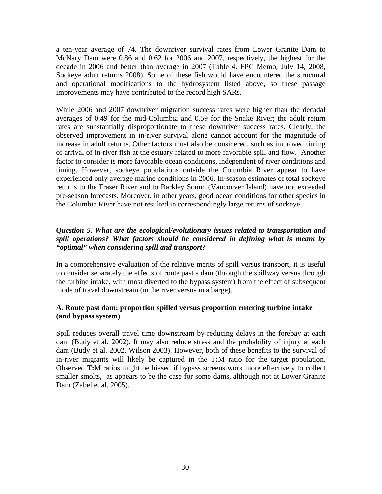<span id="page-32-0"></span>a ten-year average of 74. The downriver survival rates from Lower Granite Dam to McNary Dam were 0.86 and 0.62 for 2006 and 2007, respectively, the highest for the decade in 2006 and better than average in 2007 (Table 4, FPC Memo, July 14, 2008, Sockeye adult returns 2008). Some of these fish would have encountered the structural and operational modifications to the hydrosystem listed above, so these passage improvements may have contributed to the record high SARs.

While 2006 and 2007 downriver migration success rates were higher than the decadal averages of 0.49 for the mid-Columbia and 0.59 for the Snake River; the adult return rates are substantially disproportionate to these downriver success rates. Clearly, the observed improvement in in-river survival alone cannot account for the magnitude of increase in adult returns. Other factors must also be considered, such as improved timing of arrival of in-river fish at the estuary related to more favorable spill and flow. Another factor to consider is more favorable ocean conditions, independent of river conditions and timing. However, sockeye populations outside the Columbia River appear to have experienced only average marine conditions in 2006. In-season estimates of total sockeye returns to the Fraser River and to Barkley Sound (Vancouver Island) have not exceeded pre-season forecasts. Moreover, in other years, good ocean conditions for other species in the Columbia River have not resulted in correspondingly large returns of sockeye.

#### *Question 5. What are the ecological/evolutionary issues related to transportation and spill operations? What factors should be considered in defining what is meant by "optimal" when considering spill and transport?*

In a comprehensive evaluation of the relative merits of spill versus transport, it is useful to consider separately the effects of route past a dam (through the spillway versus through the turbine intake, with most diverted to the bypass system) from the effect of subsequent mode of travel downstream (in the river versus in a barge).

#### **A. Route past dam: proportion spilled versus proportion entering turbine intake (and bypass system)**

Spill reduces overall travel time downstream by reducing delays in the forebay at each dam (Budy et al. 2002). It may also reduce stress and the probability of injury at each dam (Budy et al. 2002, Wilson 2003). However, both of these benefits to the survival of in-river migrants will likely be captured in the T**:**M ratio for the target population. Observed T**:**M ratios might be biased if bypass screens work more effectively to collect smaller smolts, as appears to be the case for some dams, although not at Lower Granite Dam (Zabel et al. 2005).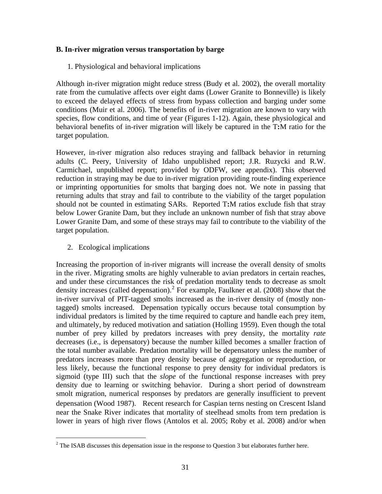#### <span id="page-33-0"></span>**B. In-river migration versus transportation by barge**

1. Physiological and behavioral implications

Although in-river migration might reduce stress (Budy et al. 2002), the overall mortality rate from the cumulative affects over eight dams (Lower Granite to Bonneville) is likely to exceed the delayed effects of stress from bypass collection and barging under some conditions (Muir et al. 2006). The benefits of in-river migration are known to vary with species, flow conditions, and time of year (Figures 1-12). Again, these physiological and behavioral benefits of in-river migration will likely be captured in the T**:**M ratio for the target population.

However, in-river migration also reduces straying and fallback behavior in returning adults (C. Peery, University of Idaho unpublished report; J.R. Ruzycki and R.W. Carmichael, unpublished report; provided by ODFW, see appendix). This observed reduction in straying may be due to in-river migration providing route-finding experience or imprinting opportunities for smolts that barging does not. We note in passing that returning adults that stray and fail to contribute to the viability of the target population should not be counted in estimating SARs. Reported T**:**M ratios exclude fish that stray below Lower Granite Dam, but they include an unknown number of fish that stray above Lower Granite Dam, and some of these strays may fail to contribute to the viability of the target population.

2. Ecological implications

l

Increasing the proportion of in-river migrants will increase the overall density of smolts in the river. Migrating smolts are highly vulnerable to avian predators in certain reaches, and under these circumstances the risk of predation mortality tends to decrease as smolt density increases (called depensation).<sup>[2](#page-33-0)</sup> For example, Faulkner et al. (2008) show that the in-river survival of PIT-tagged smolts increased as the in-river density of (mostly nontagged) smolts increased. Depensation typically occurs because total consumption by individual predators is limited by the time required to capture and handle each prey item, and ultimately, by reduced motivation and satiation (Holling 1959). Even though the total number of prey killed by predators increases with prey density, the mortality *rate* decreases (i.e., is depensatory) because the number killed becomes a smaller fraction of the total number available. Predation mortality will be depensatory unless the number of predators increases more than prey density because of aggregation or reproduction, or less likely, because the functional response to prey density for individual predators is sigmoid (type III) such that the *slope* of the functional response increases with prey density due to learning or switching behavior. During a short period of downstream smolt migration, numerical responses by predators are generally insufficient to prevent depensation (Wood 1987). Recent research for Caspian terns nesting on Crescent Island near the Snake River indicates that mortality of steelhead smolts from tern predation is lower in years of high river flows (Antolos et al. 2005; Roby et al. 2008) and/or when

 $2^2$  The ISAB discusses this depensation issue in the response to Question 3 but elaborates further here.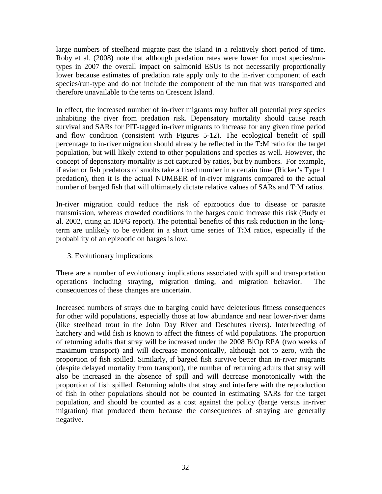large numbers of steelhead migrate past the island in a relatively short period of time. Roby et al. (2008) note that although predation rates were lower for most species/runtypes in 2007 the overall impact on salmonid ESUs is not necessarily proportionally lower because estimates of predation rate apply only to the in-river component of each species/run-type and do not include the component of the run that was transported and therefore unavailable to the terns on Crescent Island.

In effect, the increased number of in-river migrants may buffer all potential prey species inhabiting the river from predation risk. Depensatory mortality should cause reach survival and SARs for PIT-tagged in-river migrants to increase for any given time period and flow condition (consistent with Figures 5-12). The ecological benefit of spill percentage to in-river migration should already be reflected in the T**:**M ratio for the target population, but will likely extend to other populations and species as well. However, the concept of depensatory mortality is not captured by ratios, but by numbers. For example, if avian or fish predators of smolts take a fixed number in a certain time (Ricker's Type 1 predation), then it is the actual NUMBER of in-river migrants compared to the actual number of barged fish that will ultimately dictate relative values of SARs and T:M ratios.

In-river migration could reduce the risk of epizootics due to disease or parasite transmission, whereas crowded conditions in the barges could increase this risk (Budy et al. 2002, citing an IDFG report). The potential benefits of this risk reduction in the longterm are unlikely to be evident in a short time series of T**:**M ratios, especially if the probability of an epizootic on barges is low.

3. Evolutionary implications

There are a number of evolutionary implications associated with spill and transportation operations including straying, migration timing, and migration behavior. The consequences of these changes are uncertain.

Increased numbers of strays due to barging could have deleterious fitness consequences for other wild populations, especially those at low abundance and near lower-river dams (like steelhead trout in the John Day River and Deschutes rivers). Interbreeding of hatchery and wild fish is known to affect the fitness of wild populations. The proportion of returning adults that stray will be increased under the 2008 BiOp RPA (two weeks of maximum transport) and will decrease monotonically, although not to zero, with the proportion of fish spilled. Similarly, if barged fish survive better than in-river migrants (despite delayed mortality from transport), the number of returning adults that stray will also be increased in the absence of spill and will decrease monotonically with the proportion of fish spilled. Returning adults that stray and interfere with the reproduction of fish in other populations should not be counted in estimating SARs for the target population, and should be counted as a cost against the policy (barge versus in-river migration) that produced them because the consequences of straying are generally negative.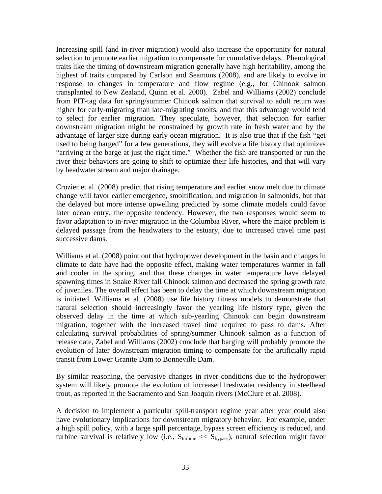Increasing spill (and in-river migration) would also increase the opportunity for natural selection to promote earlier migration to compensate for cumulative delays. Phenological traits like the timing of downstream migration generally have high heritability, among the highest of traits compared by Carlson and Seamons (2008), and are likely to evolve in response to changes in temperature and flow regime (e.g., for Chinook salmon transplanted to New Zealand, Quinn et al. 2000). Zabel and Williams (2002) conclude from PIT-tag data for spring/summer Chinook salmon that survival to adult return was higher for early-migrating than late-migrating smolts, and that this advantage would tend to select for earlier migration. They speculate, however, that selection for earlier downstream migration might be constrained by growth rate in fresh water and by the advantage of larger size during early ocean migration. It is also true that if the fish "get used to being barged" for a few generations, they will evolve a life history that optimizes "arriving at the barge at just the right time." Whether the fish are transported or run the river their behaviors are going to shift to optimize their life histories, and that will vary by headwater stream and major drainage.

Crozier et al. (2008) predict that rising temperature and earlier snow melt due to climate change will favor earlier emergence, smoltification, and migration in salmonids, but that the delayed but more intense upwelling predicted by some climate models could favor later ocean entry, the opposite tendency. However, the two responses would seem to favor adaptation to in-river migration in the Columbia River, where the major problem is delayed passage from the headwaters to the estuary, due to increased travel time past successive dams.

Williams et al. (2008) point out that hydropower development in the basin and changes in climate to date have had the opposite effect, making water temperatures warmer in fall and cooler in the spring, and that these changes in water temperature have delayed spawning times in Snake River fall Chinook salmon and decreased the spring growth rate of juveniles. The overall effect has been to delay the time at which downstream migration is initiated. Williams et al. (2008) use life history fitness models to demonstrate that natural selection should increasingly favor the yearling life history type, given the observed delay in the time at which sub-yearling Chinook can begin downstream migration, together with the increased travel time required to pass to dams. After calculating survival probabilities of spring/summer Chinook salmon as a function of release date, Zabel and Williams (2002) conclude that barging will probably promote the evolution of later downstream migration timing to compensate for the artificially rapid transit from Lower Granite Dam to Bonneville Dam.

By similar reasoning, the pervasive changes in river conditions due to the hydropower system will likely promote the evolution of increased freshwater residency in steelhead trout, as reported in the Sacramento and San Joaquin rivers (McClure et al. 2008).

A decision to implement a particular spill-transport regime year after year could also have evolutionary implications for downstream migratory behavior. For example, under a high spill policy, with a large spill percentage, bypass screen efficiency is reduced, and turbine survival is relatively low (i.e.,  $S_{\text{turbine}} \ll S_{\text{bynass}}$ ), natural selection might favor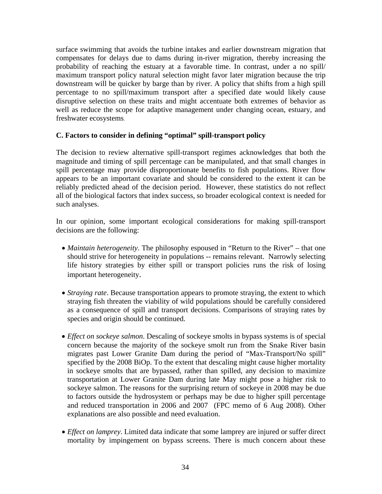<span id="page-36-0"></span>surface swimming that avoids the turbine intakes and earlier downstream migration that compensates for delays due to dams during in-river migration, thereby increasing the probability of reaching the estuary at a favorable time. In contrast, under a no spill/ maximum transport policy natural selection might favor later migration because the trip downstream will be quicker by barge than by river. A policy that shifts from a high spill percentage to no spill/maximum transport after a specified date would likely cause disruptive selection on these traits and might accentuate both extremes of behavior as well as reduce the scope for adaptive management under changing ocean, estuary, and freshwater ecosystems.

#### **C. Factors to consider in defining "optimal" spill-transport policy**

The decision to review alternative spill-transport regimes acknowledges that both the magnitude and timing of spill percentage can be manipulated, and that small changes in spill percentage may provide disproportionate benefits to fish populations. River flow appears to be an important covariate and should be considered to the extent it can be reliably predicted ahead of the decision period. However, these statistics do not reflect all of the biological factors that index success, so broader ecological context is needed for such analyses.

In our opinion, some important ecological considerations for making spill-transport decisions are the following:

- *Maintain heterogeneity*. The philosophy espoused in "Return to the River" that one should strive for heterogeneity in populations -- remains relevant. Narrowly selecting life history strategies by either spill or transport policies runs the risk of losing important heterogeneity.
- *Straying rate*. Because transportation appears to promote straying, the extent to which straying fish threaten the viability of wild populations should be carefully considered as a consequence of spill and transport decisions. Comparisons of straying rates by species and origin should be continued.
- *Effect on sockeye salmon*. Descaling of sockeye smolts in bypass systems is of special concern because the majority of the sockeye smolt run from the Snake River basin migrates past Lower Granite Dam during the period of "Max-Transport/No spill" specified by the 2008 BiOp. To the extent that descaling might cause higher mortality in sockeye smolts that are bypassed, rather than spilled, any decision to maximize transportation at Lower Granite Dam during late May might pose a higher risk to sockeye salmon. The reasons for the surprising return of sockeye in 2008 may be due to factors outside the hydrosystem or perhaps may be due to higher spill percentage and reduced transportation in 2006 and 2007 (FPC memo of 6 Aug 2008). Other explanations are also possible and need evaluation.
- *Effect on lamprey*. Limited data indicate that some lamprey are injured or suffer direct mortality by impingement on bypass screens. There is much concern about these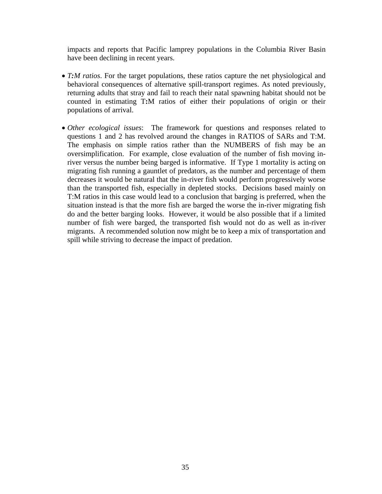impacts and reports that Pacific lamprey populations in the Columbia River Basin have been declining in recent years.

- *T:M ratios*. For the target populations, these ratios capture the net physiological and behavioral consequences of alternative spill-transport regimes. As noted previously, returning adults that stray and fail to reach their natal spawning habitat should not be counted in estimating T**:**M ratios of either their populations of origin or their populations of arrival.
- *Other ecological issues*: The framework for questions and responses related to questions 1 and 2 has revolved around the changes in RATIOS of SARs and T:M. The emphasis on simple ratios rather than the NUMBERS of fish may be an oversimplification. For example, close evaluation of the number of fish moving inriver versus the number being barged is informative. If Type 1 mortality is acting on migrating fish running a gauntlet of predators, as the number and percentage of them decreases it would be natural that the in-river fish would perform progressively worse than the transported fish, especially in depleted stocks. Decisions based mainly on T:M ratios in this case would lead to a conclusion that barging is preferred, when the situation instead is that the more fish are barged the worse the in-river migrating fish do and the better barging looks. However, it would be also possible that if a limited number of fish were barged, the transported fish would not do as well as in-river migrants. A recommended solution now might be to keep a mix of transportation and spill while striving to decrease the impact of predation.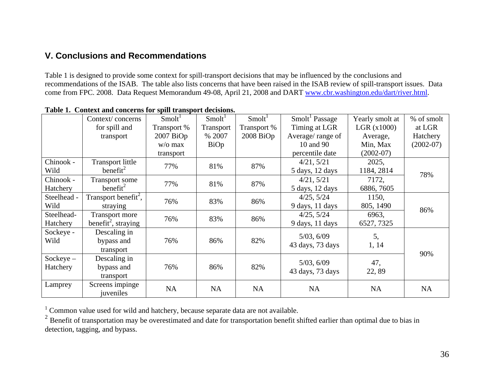# **V. Conclusions and Recommendations**

Table 1 is designed to provide some context for spill-transport decisions that may be influenced by the conclusions and recommendations of the ISAB. The table also lists concerns that have been raised in the ISAB review of spill-transport issues. Data come from FPC. 2008. Data Request Memorandum 49-08, April 21, 2008 and DART [www.cbr.washington.edu/dart/river.html](http://www.cbr.washington.edu/dart/river.html).

|             | Context/concerns                 | Smolt <sup>1</sup> | Smolt <sup>1</sup> | Smolt <sup>1</sup> | Smolt Passage                  | Yearly smolt at | % of smolt  |
|-------------|----------------------------------|--------------------|--------------------|--------------------|--------------------------------|-----------------|-------------|
|             | for spill and                    | Transport %        | Transport          | Transport %        | Timing at LGR                  | LGR $(x1000)$   | at LGR      |
|             | transport                        | $2007$ BiOp        | % 2007             | $2008$ BiOp        | Average/range of               | Average,        | Hatchery    |
|             |                                  | $w$ /o max         | BiOp               |                    | 10 and 90                      | Min, Max        | $(2002-07)$ |
|             |                                  | transport          |                    |                    | percentile date                | $(2002-07)$     |             |
| Chinook -   | <b>Transport little</b>          | 77%                | 81%                | 87%                | 4/21, 5/21                     | 2025,           |             |
| Wild        | benefit $^{2}$                   |                    |                    |                    | 5 days, 12 days                | 1184, 2814      | 78%         |
| Chinook -   | <b>Transport some</b>            | 77%                | 81%                | 87%                | 4/21, 5/21                     | 7172,           |             |
| Hatchery    | benefit $^{2}$                   |                    |                    |                    | 5 days, 12 days                | 6886, 7605      |             |
| Steelhead - | Transport benefit <sup>2</sup> , | 76%                | 83%                | 86%                | 4/25, 5/24                     | 1150,           |             |
| Wild        | straying                         |                    |                    |                    | 9 days, 11 days                | 805, 1490       | 86%         |
| Steelhead-  | <b>Transport more</b>            |                    | 83%                |                    | 4/25, 5/24                     | 6963,           |             |
| Hatchery    | benefit <sup>2</sup> , straying  | 76%                |                    | 86%                | 9 days, 11 days                | 6527, 7325      |             |
| Sockeye -   | Descaling in                     |                    |                    |                    |                                |                 |             |
| Wild        | bypass and                       | 76%                | 86%                | 82%                | 5/03, 6/09                     | 5,              |             |
|             | transport                        |                    |                    |                    | 43 days, 73 days               | 1, 14           | 90%         |
| $Sockeye -$ | Descaling in                     |                    |                    |                    |                                |                 |             |
| Hatchery    | bypass and                       | 76%                | 86%                | 82%                | 5/03, 6/09<br>43 days, 73 days | 47,<br>22,89    |             |
|             | transport                        |                    |                    |                    |                                |                 |             |
| Lamprey     | Screens impinge<br>juveniles     | <b>NA</b>          | <b>NA</b>          | NA                 | <b>NA</b>                      | <b>NA</b>       | <b>NA</b>   |

**Table 1. Context and concerns for spill transport decisions.** 

 $1$  Common value used for wild and hatchery, because separate data are not available.

<span id="page-38-0"></span> $2^2$  Benefit of transportation may be overestimated and date for transportation benefit shifted earlier than optimal due to bias in detection, tagging, and bypass.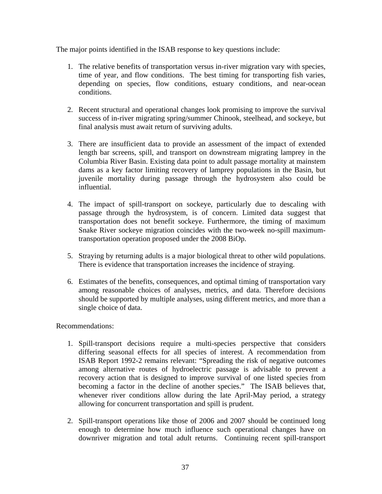The major points identified in the ISAB response to key questions include:

- 1. The relative benefits of transportation versus in-river migration vary with species, time of year, and flow conditions. The best timing for transporting fish varies, depending on species, flow conditions, estuary conditions, and near-ocean conditions.
- 2. Recent structural and operational changes look promising to improve the survival success of in-river migrating spring/summer Chinook, steelhead, and sockeye, but final analysis must await return of surviving adults.
- 3. There are insufficient data to provide an assessment of the impact of extended length bar screens, spill, and transport on downstream migrating lamprey in the Columbia River Basin. Existing data point to adult passage mortality at mainstem dams as a key factor limiting recovery of lamprey populations in the Basin, but juvenile mortality during passage through the hydrosystem also could be influential.
- 4. The impact of spill-transport on sockeye, particularly due to descaling with passage through the hydrosystem, is of concern. Limited data suggest that transportation does not benefit sockeye. Furthermore, the timing of maximum Snake River sockeye migration coincides with the two-week no-spill maximumtransportation operation proposed under the 2008 BiOp.
- 5. Straying by returning adults is a major biological threat to other wild populations. There is evidence that transportation increases the incidence of straying.
- 6. Estimates of the benefits, consequences, and optimal timing of transportation vary among reasonable choices of analyses, metrics, and data. Therefore decisions should be supported by multiple analyses, using different metrics, and more than a single choice of data.

Recommendations:

- 1. Spill-transport decisions require a multi-species perspective that considers differing seasonal effects for all species of interest. A recommendation from ISAB Report 1992-2 remains relevant: "Spreading the risk of negative outcomes among alternative routes of hydroelectric passage is advisable to prevent a recovery action that is designed to improve survival of one listed species from becoming a factor in the decline of another species." The ISAB believes that, whenever river conditions allow during the late April-May period, a strategy allowing for concurrent transportation and spill is prudent.
- 2. Spill-transport operations like those of 2006 and 2007 should be continued long enough to determine how much influence such operational changes have on downriver migration and total adult returns. Continuing recent spill-transport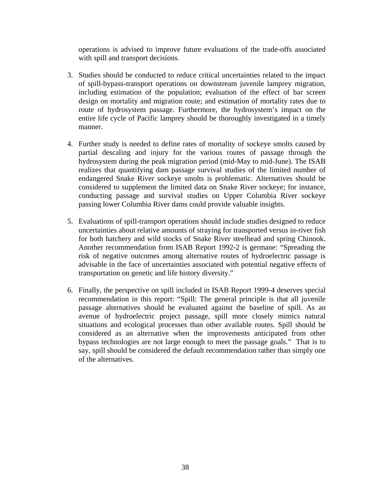operations is advised to improve future evaluations of the trade-offs associated with spill and transport decisions.

- 3. Studies should be conducted to reduce critical uncertainties related to the impact of spill-bypass-transport operations on downstream juvenile lamprey migration, including estimation of the population; evaluation of the effect of bar screen design on mortality and migration route; and estimation of mortality rates due to route of hydrosystem passage. Furthermore, the hydrosystem's impact on the entire life cycle of Pacific lamprey should be thoroughly investigated in a timely manner.
- 4. Further study is needed to define rates of mortality of sockeye smolts caused by partial descaling and injury for the various routes of passage through the hydrosystem during the peak migration period (mid-May to mid-June). The ISAB realizes that quantifying dam passage survival studies of the limited number of endangered Snake River sockeye smolts is problematic. Alternatives should be considered to supplement the limited data on Snake River sockeye; for instance, conducting passage and survival studies on Upper Columbia River sockeye passing lower Columbia River dams could provide valuable insights.
- 5. Evaluations of spill-transport operations should include studies designed to reduce uncertainties about relative amounts of straying for transported versus in-river fish for both hatchery and wild stocks of Snake River steelhead and spring Chinook. Another recommendation from ISAB Report 1992-2 is germane: "Spreading the risk of negative outcomes among alternative routes of hydroelectric passage is advisable in the face of uncertainties associated with potential negative effects of transportation on genetic and life history diversity."
- 6. Finally, the perspective on spill included in ISAB Report 1999-4 deserves special recommendation in this report: "Spill: The general principle is that all juvenile passage alternatives should be evaluated against the baseline of spill. As an avenue of hydroelectric project passage, spill more closely mimics natural situations and ecological processes than other available routes. Spill should be considered as an alternative when the improvements anticipated from other bypass technologies are not large enough to meet the passage goals." That is to say, spill should be considered the default recommendation rather than simply one of the alternatives.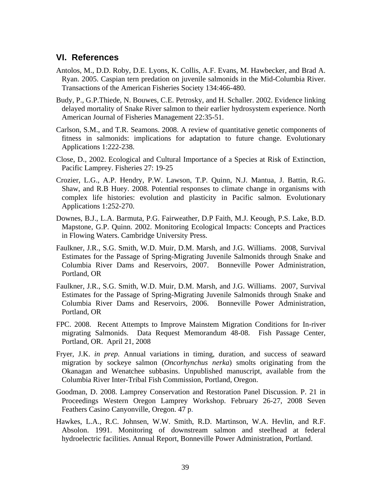#### <span id="page-41-0"></span>**VI. References**

- Antolos, M., D.D. Roby, D.E. Lyons, K. Collis, A.F. Evans, M. Hawbecker, and Brad A. Ryan. 2005. Caspian tern predation on juvenile salmonids in the Mid-Columbia River. Transactions of the American Fisheries Society 134:466-480.
- Budy, P., G.P.Thiede, N. Bouwes, C.E. Petrosky, and H. Schaller. 2002. Evidence linking delayed mortality of Snake River salmon to their earlier hydrosystem experience. North American Journal of Fisheries Management 22:35-51.
- Carlson, S.M., and T.R. Seamons. 2008. A review of quantitative genetic components of fitness in salmonids: implications for adaptation to future change. Evolutionary Applications 1:222-238.
- Close, D., 2002. Ecological and Cultural Importance of a Species at Risk of Extinction, Pacific Lamprey. Fisheries 27: 19-25
- Crozier, L.G., A.P. Hendry, P.W. Lawson, T.P. Quinn, N.J. Mantua, J. Battin, R.G. Shaw, and R.B Huey. 2008. Potential responses to climate change in organisms with complex life histories: evolution and plasticity in Pacific salmon. Evolutionary Applications 1:252-270.
- Downes, B.J., L.A. Barmuta, P.G. Fairweather, D.P Faith, M.J. Keough, P.S. Lake, B.D. Mapstone, G.P. Quinn. 2002. Monitoring Ecological Impacts: Concepts and Practices in Flowing Waters. Cambridge University Press.
- Faulkner, J.R., S.G. Smith, W.D. Muir, D.M. Marsh, and J.G. Williams. 2008, Survival Estimates for the Passage of Spring-Migrating Juvenile Salmonids through Snake and Columbia River Dams and Reservoirs, 2007. Bonneville Power Administration, Portland, OR
- Faulkner, J.R., S.G. Smith, W.D. Muir, D.M. Marsh, and J.G. Williams. 2007, Survival Estimates for the Passage of Spring-Migrating Juvenile Salmonids through Snake and Columbia River Dams and Reservoirs, 2006. Bonneville Power Administration, Portland, OR
- FPC. 2008. Recent Attempts to Improve Mainstem Migration Conditions for In-river migrating Salmonids. Data Request Memorandum 48-08. Fish Passage Center, Portland, OR. April 21, 2008
- Fryer, J.K. *in prep.* Annual variations in timing, duration, and success of seaward migration by sockeye salmon (*Oncorhynchus nerka*) smolts originating from the Okanagan and Wenatchee subbasins. Unpublished manuscript, available from the Columbia River Inter-Tribal Fish Commission, Portland, Oregon.
- Goodman, D. 2008. Lamprey Conservation and Restoration Panel Discussion. P. 21 in Proceedings Western Oregon Lamprey Workshop. February 26-27, 2008 Seven Feathers Casino Canyonville, Oregon. 47 p.
- Hawkes, L.A., R.C. Johnsen, W.W. Smith, R.D. Martinson, W.A. Hevlin, and R.F. Absolon. 1991. Monitoring of downstream salmon and steelhead at federal hydroelectric facilities. Annual Report, Bonneville Power Administration, Portland.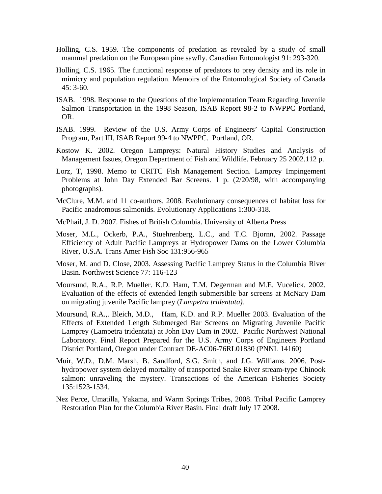- Holling, C.S. 1959. The components of predation as revealed by a study of small mammal predation on the European pine sawfly. Canadian Entomologist 91: 293-320.
- Holling, C.S. 1965. The functional response of predators to prey density and its role in mimicry and population regulation. Memoirs of the Entomological Society of Canada 45: 3-60.
- ISAB. 1998. Response to the Questions of the Implementation Team Regarding Juvenile Salmon Transportation in the 1998 Season, ISAB Report 98-2 to NWPPC Portland, OR.
- ISAB. 1999. Review of the U.S. Army Corps of Engineers' Capital Construction Program, Part III, ISAB Report 99-4 to NWPPC. Portland, OR.
- Kostow K. 2002. Oregon Lampreys: Natural History Studies and Analysis of Management Issues, Oregon Department of Fish and Wildlife. February 25 2002.112 p.
- Lorz, T, 1998. Memo to CRITC Fish Management Section. Lamprey Impingement Problems at John Day Extended Bar Screens. 1 p. (2/20/98, with accompanying photographs).
- McClure, M.M. and 11 co-authors. 2008. Evolutionary consequences of habitat loss for Pacific anadromous salmonids. Evolutionary Applications 1:300-318.
- McPhail, J. D. 2007. Fishes of British Columbia. University of Alberta Press
- Moser, M.L., Ockerb, P.A., Stuehrenberg, L.C., and T.C. Bjornn, 2002. Passage Efficiency of Adult Pacific Lampreys at Hydropower Dams on the Lower Columbia River, U.S.A. Trans Amer Fish Soc 131:956-965
- Moser, M. and D. Close, 2003. Assessing Pacific Lamprey Status in the Columbia River Basin. Northwest Science 77: 116-123
- Moursund, R.A., R.P. Mueller. K.D. Ham, T.M. Degerman and M.E. Vucelick. 2002. Evaluation of the effects of extended length submersible bar screens at McNary Dam on migrating juvenile Pacific lamprey (*Lampetra tridentata).*
- Moursund, R.A.,. Bleich, M.D., Ham, K.D. and R.P. Mueller 2003. Evaluation of the Effects of Extended Length Submerged Bar Screens on Migrating Juvenile Pacific Lamprey (Lampetra tridentata) at John Day Dam in 2002. Pacific Northwest National Laboratory. Final Report Prepared for the U.S. Army Corps of Engineers Portland District Portland, Oregon under Contract DE-AC06-76RL01830 (PNNL 14160)
- Muir, W.D., D.M. Marsh, B. Sandford, S.G. Smith, and J.G. Williams. 2006. Posthydropower system delayed mortality of transported Snake River stream-type Chinook salmon: unraveling the mystery. Transactions of the American Fisheries Society 135:1523-1534.
- Nez Perce, Umatilla, Yakama, and Warm Springs Tribes, 2008. Tribal Pacific Lamprey Restoration Plan for the Columbia River Basin. Final draft July 17 2008.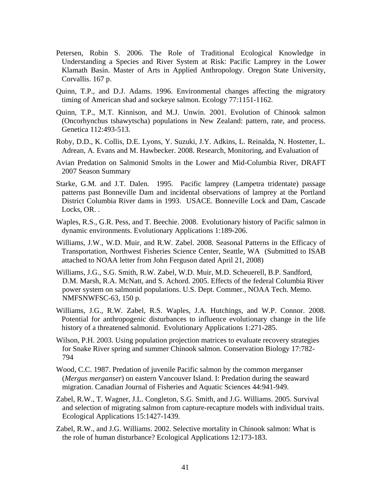- Petersen, Robin S. 2006. The Role of Traditional Ecological Knowledge in Understanding a Species and River System at Risk: Pacific Lamprey in the Lower Klamath Basin. Master of Arts in Applied Anthropology. Oregon State University, Corvallis. 167 p.
- Quinn, T.P., and D.J. Adams. 1996. Environmental changes affecting the migratory timing of American shad and sockeye salmon. Ecology 77:1151-1162.
- Quinn, T.P., M.T. Kinnison, and M.J. Unwin. 2001. Evolution of Chinook salmon (Oncorhynchus tshawytscha) populations in New Zealand: pattern, rate, and process. Genetica 112:493-513.
- Roby, D.D., K. Collis, D.E. Lyons, Y. Suzuki, J.Y. Adkins, L. Reinalda, N. Hostetter, L. Adrean, A. Evans and M. Hawbecker. 2008. Research, Monitoring, and Evaluation of
- Avian Predation on Salmonid Smolts in the Lower and Mid-Columbia River, DRAFT 2007 Season Summary
- Starke, G.M. and J.T. Dalen. 1995. Pacific lamprey (Lampetra tridentate) passage patterns past Bonneville Dam and incidental observations of lamprey at the Portland District Columbia River dams in 1993. USACE. Bonneville Lock and Dam, Cascade Locks, OR. .
- Waples, R.S., G.R. Pess, and T. Beechie. 2008. Evolutionary history of Pacific salmon in dynamic environments. Evolutionary Applications 1:189-206.
- Williams, J.W., W.D. Muir, and R.W. Zabel. 2008. Seasonal Patterns in the Efficacy of Transportation, Northwest Fisheries Science Center, Seattle, WA (Submitted to ISAB attached to NOAA letter from John Ferguson dated April 21, 2008)
- Williams, J.G., S.G. Smith, R.W. Zabel, W.D. Muir, M.D. Scheuerell, B.P. Sandford, D.M. Marsh, R.A. McNatt, and S. Achord. 2005. Effects of the federal Columbia River power system on salmonid populations. U.S. Dept. Commer., NOAA Tech. Memo. NMFSNWFSC-63, 150 p.
- Williams, J.G., R.W. Zabel, R.S. Waples, J.A. Hutchings, and W.P. Connor. 2008. Potential for anthropogenic disturbances to influence evolutionary change in the life history of a threatened salmonid. Evolutionary Applications 1:271-285.
- Wilson, P.H. 2003. Using population projection matrices to evaluate recovery strategies for Snake River spring and summer Chinook salmon. Conservation Biology 17:782- 794
- Wood, C.C. 1987. Predation of juvenile Pacific salmon by the common merganser (*Mergus merganser*) on eastern Vancouver Island. I: Predation during the seaward migration. Canadian Journal of Fisheries and Aquatic Sciences 44:941-949.
- Zabel, R.W., T. Wagner, J.L. Congleton, S.G. Smith, and J.G. Williams. 2005. Survival and selection of migrating salmon from capture-recapture models with individual traits. Ecological Applications 15:1427-1439.
- Zabel, R.W., and J.G. Williams. 2002. Selective mortality in Chinook salmon: What is the role of human disturbance? Ecological Applications 12:173-183.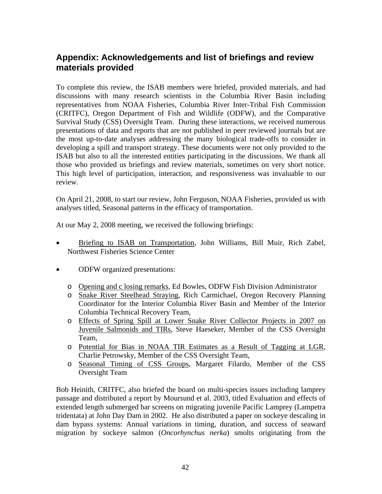# <span id="page-44-0"></span>**Appendix: Acknowledgements and list of briefings and review materials provided**

To complete this review, the ISAB members were briefed, provided materials, and had discussions with many research scientists in the Columbia River Basin including representatives from NOAA Fisheries, Columbia River Inter-Tribal Fish Commission (CRITFC), Oregon Department of Fish and Wildlife (ODFW), and the Comparative Survival Study (CSS) Oversight Team. During these interactions, we received numerous presentations of data and reports that are not published in peer reviewed journals but are the most up-to-date analyses addressing the many biological trade-offs to consider in developing a spill and transport strategy. These documents were not only provided to the ISAB but also to all the interested entities participating in the discussions. We thank all those who provided us briefings and review materials, sometimes on very short notice. This high level of participation, interaction, and responsiveness was invaluable to our review.

On April 21, 2008, to start our review, John Ferguson, NOAA Fisheries, provided us with analyses titled, Seasonal patterns in the efficacy of transportation.

At our May 2, 2008 meeting, we received the following briefings:

- Briefing to ISAB on Transportation, John Williams, Bill Muir, Rich Zabel, Northwest Fisheries Science Center
- ODFW organized presentations:
	- o Opening and c losing remarks, Ed Bowles, ODFW Fish Division Administrator
	- o Snake River Steelhead Straying, Rich Carmichael, Oregon Recovery Planning Coordinator for the Interior Columbia River Basin and Member of the Interior Columbia Technical Recovery Team,
	- o Effects of Spring Spill at Lower Snake River Collector Projects in 2007 on Juvenile Salmonids and TIRs, Steve Haeseker, Member of the CSS Oversight Team,
	- o Potential for Bias in NOAA TIR Estimates as a Result of Tagging at LGR, Charlie Petrowsky, Member of the CSS Oversight Team,
	- o Seasonal Timing of CSS Groups, Margaret Filardo, Member of the CSS Oversight Team

Bob Heinith, CRITFC, also briefed the board on multi-species issues including lamprey passage and distributed a report by Moursund et al. 2003, titled Evaluation and effects of extended length submerged bar screens on migrating juvenile Pacific Lamprey (Lampetra tridentata) at John Day Dam in 2002. He also distributed a paper on sockeye descaling in dam bypass systems: Annual variations in timing, duration, and success of seaward migration by sockeye salmon (*Oncorhynchus nerka*) smolts originating from the